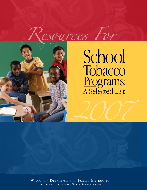



# A Selected List Tobacco Programs: School

*2007*

Wisconsin Department of Public Instruction Elizabeth Burmaster, State Superintendent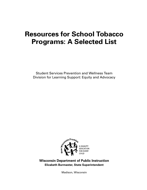# **Resources for School Tobacco Programs: A Selected List**

Student Services Prevention and Wellness Team Division for Learning Support: Equity and Advocacy



**Wisconsin Department of Public Instruction Elizabeth Burmaster, State Superintendent**

Madison, Wisconsin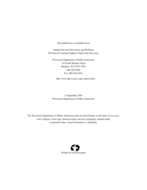This publication is available from:

Student Services/Prevention and Wellness Division of Learning Support: Equity and Advocacy

Wisconsin Department of Public Instruction 125 South Webster Street Madison, WI 53707-7841 608-266-8960 Fax: 608-266-3643

http://www.dpi.wi.gov/sspw/tadocs.html

© September 2007 Wisconsin Department of Public Instruction

The Wisconsin Department of Public Instruction does not discriminate on the basis of sex, race, color, religion, creed, age, national origin, ancestry, pregnancy, marital status or parental status, sexual orientation, or disability.

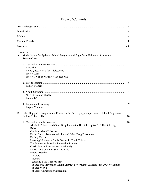|           | Resources                                                                              |                |
|-----------|----------------------------------------------------------------------------------------|----------------|
| A.        | Model Scientifically-based School Programs with Significant Evidence of Impact on      | -1             |
|           |                                                                                        | $\overline{2}$ |
|           | LifeSkills                                                                             |                |
|           | Lions Quest: Skills for Adolescence                                                    |                |
|           | Project Alert<br>Project TNT: Towards No Tobacco Use                                   |                |
|           |                                                                                        |                |
|           | <b>Family Matters</b>                                                                  |                |
|           |                                                                                        | 7              |
|           | N-O-T: Not on Tobacco                                                                  |                |
|           | Project EX                                                                             |                |
|           |                                                                                        | 9              |
|           | Project Venture                                                                        |                |
| <b>B.</b> | Other Suggested Programs and Resources for Developing Comprehensive School Programs to |                |
|           |                                                                                        | 10             |
|           |                                                                                        | 10             |
|           | Alcohol, Tobacco and Other Drug Prevention II eField trip (ATOD II eField trip)        |                |
|           | <b>B-Force</b>                                                                         |                |
|           | Get Real About Tobacco                                                                 |                |
|           | Health Smart: Tobacco, Alcohol and Other Drug Prevention<br><b>Healthy Hearts</b>      |                |
|           | Learning Modules in Social Norms in Youth Tobacco                                      |                |
|           | The Minnesota Smoking Prevention Program                                               |                |
|           | Curriculum and Instruction (continued)                                                 |                |
|           | No Ifs Ands or Butts: Smoking Kills                                                    |                |
|           | Project Breathe<br>Tar Wars                                                            |                |
|           | Targeted!                                                                              |                |
|           | Teach and Talk: Tobacco Free                                                           |                |
|           | Tobacco Use Prevention Health Literacy Performance Assessments: 2004-05 Edition        |                |
|           | Tobacco World                                                                          |                |
|           | Tobacco: A Smashing Curriculum                                                         |                |

## **Table of Contents**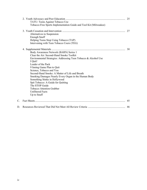|    | TATU: Teens Against Tobacco Use<br>Tobacco-Free Sports Implementation Guide and Tool Kit (Milwaukee) | 25 |
|----|------------------------------------------------------------------------------------------------------|----|
|    | Alternatives to Suspension                                                                           | 27 |
|    | <b>Enough Snuff</b>                                                                                  |    |
|    | Helping Teens Stop Using Tobacco (TAP)<br>Intervening with Teen Tobacco Users (TEG)                  |    |
|    |                                                                                                      | 30 |
|    | Body Awareness Network (BARN) Series 1                                                               |    |
|    | Clear the Air: Second-Hand Smoke Toolkit                                                             |    |
|    | Environmental Strategies: Addressing Teen Tobacco & Alcohol Use                                      |    |
|    | I Quit!                                                                                              |    |
|    | Leader of the Pack                                                                                   |    |
|    | 9 Inning Game Plan to Quit<br>Science, Tobacco and You                                               |    |
|    | Second-Hand Smoke: A Matter of Life and Breath                                                       |    |
|    | Smoking Damages Nearly Every Organ in the Human Body                                                 |    |
|    | Something Stinks in Hollywood                                                                        |    |
|    | Spit Tobacco: A Guide for Quitting                                                                   |    |
|    | The STOP Guide                                                                                       |    |
|    | <b>Tobacco Attention Grabber</b>                                                                     |    |
|    | <b>Unfiltered Facts</b>                                                                              |    |
|    | Up to Snuff                                                                                          |    |
| C. |                                                                                                      | 45 |
| D. |                                                                                                      | 46 |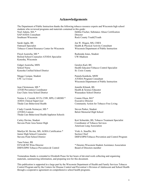#### **Acknowledgements**

The Department of Public Instruction thanks the following tobacco resource experts and Wisconsin high school students who reviewed programs and materials contained in this guide: Noel Adams, MA \* SAP/AODA Consultant Southeast Wisconsin Debbie Fischer, Substance Abuse Certification Director Rock County Youth2Youth

Sarah Apple, BS Outreach Specialist Tobacco Control Resource Center for Wisconsin

Floyd Asonwha, MS \* Retired School Counselor-ATODA Specialist Kenosha, Wisconsin

Gidget Asonwha, MSN School Nurse Kenosha Unified School District

Megge Casique, Student UW- La Crosse

Jean Christenson, MS \* ATOD Prevention Coordinator Eau Claire Area School District

Norma A. Czarnik, ICCS, CSW, RPS, CARDIII \* AODA Clinical Supervisor Theda Care Behavioral Health

Cindy Czarnik-Neimeyer, MS \* ATODA Liaison Theda Care Behavioral Health/Appleton Schools

Carley Devine, Student Stevens Point Area Senior High

Marilyn M. Devine, MS, AODA Certification \* Junior High School Counselor Stevens Point School District

Tana Feiner, BS SYNAR/WI Wins Director DHFS/DPH Tobacco Prevention & Control Jon W. Hisgen, MS, CHES Health & Physical Activity Consultant Wisconsin Department of Public Instruction

Rashonda Jones, Student UW-Madison

Geralyn Karl, BS Health Educator/Tobacco Control Specialist St. Croix County

Pamela Kanikula, MSW ATODA Program Consultant Wisconsin Department of Public Instruction

Jennifer Klimek, BS Health & Science Educator Wausaukee School District

Connie Olson, BA\* Executive Director Community Action for Tobacco Free Living

Steven Parker, Student Beloit Memorial High School

Keri Schneider, BS, Tobacco Treatment Specialist Coordinator of Tobacco Services American Lung Association

Vicki A. Stauffer, BA Section Chief DHFS/DPH/Tobacco Prevention and Control Program

\* Denotes Wisconsin Student Assistance Association Board of Directors member

Tremendous thanks is extended to Elizabeth Pease for her hours of devoted work collecting and organizing materials, summarizing information, and preparing text for this document.

This publication is supported in a large part by the Wisconsin Department of Health and Family Services Tobacco Control Program and by the Centers for Disease Control and Prevention's Division of Adolescent and School Health through a cooperative agreement on comprehensive school health programs.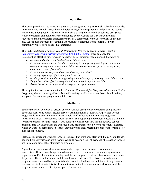#### **Introduction**

This descriptive list of resources and programs is designed to help Wisconsin school communities select materials that will assist them in implementing effective programs and policies to reduce tobacco use among youth. It is part of Wisconsin's strategic plan to reduce tobacco use. School tobacco programs and policies are recommended by the Centers for Disease Control and Prevention and other experts as necessary parts of a comprehensive plan to prevent and reduce use. School-based tobacco prevention has proven most effective when coordinated with community-wide efforts and media campaigns.

The *CDC Guidelines for School Health Programs to Prevent Tobacco Use and Addiction* (<http://www.cdc.gov/mmwr/preview/mmwrhtml/00026213.htm> ) offer guidance for implementing effective programs and policies. These guidelines recommended that schools:

- *1. Develop and enforce a school policy on tobacco use.*
- *2. Provide instruction about the short- and long-term negative physiological and social consequences of tobacco use, social influences on tobacco use, peer norms regarding tobacco use, and refusal skills.*
- *3. Provide tobacco-use prevention education in grades K-12.*
- *4. Provide program-specific training for teachers.*
- *5. Involve parents or families in supporting school-based programs to prevent tobacco use.*
- *6. Support cessation efforts among students and school staff who use tobacco.*
- *7. Assess the tobacco-use prevention program at regular intervals.*

These guidelines are consistent with the *Wisconsin Framework for Comprehensive School Health Programs*, which provides guidance for a wide variety of effective school-based health, safety, and youth development programs and initiatives.

#### **Methods**

Staff searched for evidence of effectiveness for school-based tobacco programs using first the Substance Abuse and Mental Health Services Administration's (SAMHSA) previous Model Programs list as well as the new National Registry of Effective and Promising Programs (NREPP) database. Although this newer NREPP list is replacing the previous one, it is still in the formative process. For this reason, it was decided to utilize both lists for this review. School programs initially selected for the evidence-based programs section were those readily available whose evaluations demonstrated significant positive findings regarding tobacco use for middle or high school students.

Staff also identified other school tobacco resources that were consistent with the CDC guidelines, had multiple activities, and were readily available despite a lack of evidence of impact on tobacco use in isolation from other strategies or programs.

A panel of reviewers was chosen with established expertise in tobacco prevention and intervention. These panelists represented schools as well as state and community agencies and organizations. For the first time youth joined the review process, adding their valuable insights to the process. The actual resources and the evaluation evidence of the chosen research-based programs were reviewed by the panelists who made the final recommendations of programs and resources for inclusion in this list. In some instances, the lead researchers or developers of the programs were contacted directly as a part of this review.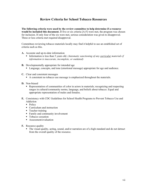#### **Review Criteria for School Tobacco Resources**

**The following criteria were used by the review committee to help determine if a resource would be included this document.** If five or six criteria [A-F] were met, the program was chosen for inclusion. If only four of the six were met, serious consideration was given to disapproval. Three or less criteria met required disapproval.

Committees reviewing tobacco materials locally may find it helpful to use an established set of criteria such as this.

- **A.** Accurate and up-to-date information
	- Information is less than 5 years old. *(Automatic sanctioning of any curricular materials if information is inaccurate, incomplete, or outdated)*
- **B.** Developmentally appropriate for intended age
	- Language, concepts, and tone (emotional message) appropriate for age and audience.
- **C.** Clear and consistent messages
	- A consistent no tobacco use message is emphasized throughout the materials.
- **D.** Non-biased
	- Representation of communities of color in actors in materials; recognizing and respecting ranges in cultural/community norms, language, and beliefs about tobacco. Equal and appropriate representation of males and females.
- **E.** Consistency with CDC Guidelines for School Health Programs to Prevent Tobacco Use and Addiction
	- $\blacksquare$  Policy
	- Curriculum and instruction
	- Teacher training
	- Family and community involvement
	- Tobacco cessation
	- Assessment/evaluation
- **F.** Resource quality
	- The visual quality, acting, sound, and/or narration are of a high standard and do not detract from the overall quality of the resource.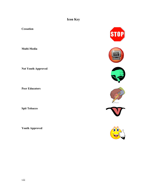# **Icon Key**

**Cessation** 

**Multi-Media** 

**Not Youth Approved** 

**Peer Educators** 

**Spit Tobacco** 

**Youth Approved** 











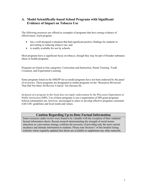#### **A. Model Scientifically-based School Programs with Significant Evidence of Impact on Tobacco Use**

The following resources are offered as examples of programs that have strong evidence of effectiveness. Each program:

- has a well-designed evaluation that had significant positive findings for students in preventing or reducing tobacco use, and
- is readily available for use by schools.

Most programs have a significant focus on tobacco, though they may be part of broader substance abuse or health programs.

Programs are listed in four categories: Curriculum and Instruction, Parent Training, Youth Cessation, and Experiential Learning.

Some programs listed on the NREPP list as model programs have not been endorsed by the panel of reviewers. These programs are designated as model programs on the "Resources Reviewed That Did Not Meet All Review Criteria" list (Section D).

*Inclusion of a program in this book does not imply endorsement by the Wisconsin Department of Public Instruction* (DPI)*.* Use of these programs is not a requirement of DPI grant programs. School communities are, however, encouraged to select or develop effective programs consistent with CDC guidelines and local needs and values.

#### **Caution Regarding Up-to-Date Factual Information**

Some resources under review were found to be valuable with the exception of their outdated factual information sheets. Recent research demonstrating the strength of social norms education as a prevention strategy confirms the necessity of providing only the most current incidence and attitude information to students. Please note Section C of this booklet listing websites where regularly updated fact sheets are available to supplement any other materials.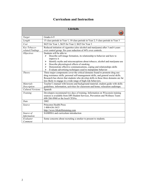## **Curriculum and Instruction**

| <b>LifeSkills</b>        |                                                                                           |
|--------------------------|-------------------------------------------------------------------------------------------|
|                          |                                                                                           |
| Target                   | Grades 6-9                                                                                |
| Length                   | 15 class periods in Year 1; 10 class periods in Year 2; 5 class periods in Year 3         |
| Cost                     | \$625 for Year 1, \$625 for Year 2, \$625 for Year 3                                      |
| Key Tobacco-             | Reduced initiation of cigarettes (also alcohol and marijuana) after 3 and 6 years         |
| related Findings         | over control group. Six-year reduction of 44% over controls.                              |
| <i><b>Objectives</b></i> | Students will be able to:                                                                 |
|                          | Describe self-image formation, its relationship to behavior and how to<br>⋗<br>improve it |
|                          | Identify myths and misconceptions about tobacco, alcohol and marijuana use<br>⋗           |
|                          | Describe physiological effects of smoking<br>$\blacktriangleright$                        |
|                          | Demonstrate effective communications, coping and relationships skills<br>➤                |
|                          | Evaluate advertising techniques used to manipulate behavior<br>➤                          |
| Theory                   | Three major components cover the critical domains found to promote drug use:              |
|                          | drug resistance skills, personal self-management skills, and general social skills.       |
|                          | Research has shown that students who develop skills in these three domains are far        |
|                          | less likely to engage in a wide range of high-risk behaviors.                             |
| <b>Materials</b>         | Teacher's manual with lessons and background material; student guide with skills          |
| Description              | guidelines, information, activities for classroom and home; relaxation audiotape.         |
| Cultural Versions        | Spanish                                                                                   |
| Training                 | Developers recommend two days of training. Information on Wisconsin training              |
|                          | sources is available from DPI Student Services, Prevention and Wellness Team:             |
|                          | 608-266-8960 or the local CESAs.                                                          |
| Date                     | 2002                                                                                      |
| Source                   | Princeton Health Press                                                                    |
|                          | 1-800-636-3415                                                                            |
|                          | http://www.lifeskillstraining.com                                                         |
| Source of                | SAMHSA and curriculum introduction                                                        |
| Information              |                                                                                           |
| Evaluator                | Some concerns about recruiting a smoker to present to students.                           |
| Comment                  |                                                                                           |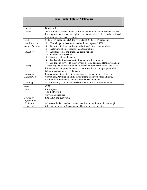| <b>Lions Quest: Skills for Adolescence</b> |                                                                                                                      |  |
|--------------------------------------------|----------------------------------------------------------------------------------------------------------------------|--|
|                                            |                                                                                                                      |  |
| Target                                     | Grades 6-8                                                                                                           |  |
| Length                                     | 102 45-minute lessons, divided into 8 sequential thematic units and a service-                                       |  |
|                                            | learning unit that extends through the curriculum. Can be delivered as a 9-week                                      |  |
| Cost                                       | mini-course, or a 3-year program.<br>\$120 for $6th$ grade kit; \$120 for $7th$ grade kit; \$120 for $8th$ grade kit |  |
|                                            |                                                                                                                      |  |
| Key Tobacco-                               | Knowledge of risks associated with use improved 43%<br>➤                                                             |  |
| related Findings                           | Significantly lower self-reported rates of using chewing tobacco<br>➤                                                |  |
|                                            | Deters initiation of regular cigarette smoking<br>➤                                                                  |  |
| <i><b>Objectives</b></i>                   | $\blacktriangleright$<br>Essential social and emotional competencies                                                 |  |
|                                            | Good citizenship skills<br>➤                                                                                         |  |
|                                            | Strong, positive character<br>➤                                                                                      |  |
|                                            | Skills and attitudes consistent with a drug-free lifestyle<br>➤                                                      |  |
|                                            | An ethic of service to others within a caring and consistent environment                                             |  |
| Theory                                     | A nurturing external environment, in which children learn critical life skills,                                      |  |
|                                            | influences and supports the internal conditions that encourages pro-social                                           |  |
|                                            | behavior and decreases risk behavior.                                                                                |  |
| <b>Materials</b>                           | Five-component structure for addressing protective factors: Classroom                                                |  |
| Description                                | Curriculum, Parent and Family Involvement, Positive School Climate,                                                  |  |
|                                            | Community Involvement, and Professional Development.                                                                 |  |
| Training                                   | An introductory 2 to 3 day workshop is necessary to receive materials.                                               |  |
| Date                                       | 2003                                                                                                                 |  |
| Source                                     | Lions-Quest                                                                                                          |  |
|                                            | 1-800-446-2700                                                                                                       |  |
|                                            | www.lions-quest.org                                                                                                  |  |
| Source of                                  | <b>SAMHSA</b> and curriculum                                                                                         |  |
| Information                                |                                                                                                                      |  |
| Evaluator                                  | Addresses the laws and cost related to tobacco, but does not have enough                                             |  |
| Comment                                    | information on the influence wielded by the tobacco industry.                                                        |  |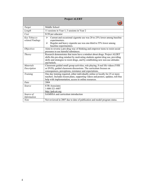| <b>Project ALERT</b>             |                                                                                                                                                                                                                                                                   |
|----------------------------------|-------------------------------------------------------------------------------------------------------------------------------------------------------------------------------------------------------------------------------------------------------------------|
|                                  |                                                                                                                                                                                                                                                                   |
| Target                           | Middle School                                                                                                                                                                                                                                                     |
| Length                           | 11 sessions in Year 1; 3 sessions in Year 2                                                                                                                                                                                                                       |
| Cost                             | \$150 per educator                                                                                                                                                                                                                                                |
| Key Tobacco-<br>related Findings | Current and occasional cigarette use was 20 to 25% lower among baseline<br>⋗<br>experimenters.<br>Regular and heavy cigarette use was one-third to 55% lower among<br>⋗<br>baseline experimenters.                                                                |
| <i><b>Objectives</b></i>         | Aims to reverse a pro-drug way of thinking and empower teens to resist social<br>pressures to use harmful substances.                                                                                                                                             |
| Theory                           | Research demonstrates that teens have a mindset about drugs. Project ALERT<br>shifts this pro-drug mindset by motivating students against drug use, providing<br>skills and strategies to resist drugs, and by establishing new non-use attitudes<br>and beliefs. |
| <b>Materials</b>                 | Classroom guided small group activities, role playing, 8 real life videos (VHS                                                                                                                                                                                    |
| Description                      | or DVD), guided classroom discussions. The curriculum focuses on<br>consequences, perceptions, resistance and expectations.                                                                                                                                       |
| Training                         | One day training required, either individually online or locally for 25 or more<br>teachers. Includes lesson plans, supporting videos and posters, updates, toll-free<br>help with implementation, access to online resources.                                    |
| Date                             | 2004                                                                                                                                                                                                                                                              |
| Source                           | <b>ETR</b> Associates<br>1-800-321-4407<br>http://pub.etr.org                                                                                                                                                                                                     |
| Source of                        | SAMHSA and curriculum introduction                                                                                                                                                                                                                                |
| Information                      |                                                                                                                                                                                                                                                                   |
| Note                             | Not reviewed in 2007 due to date of publication and model program status.                                                                                                                                                                                         |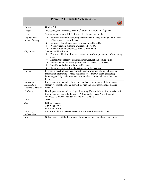| <b>Project TNT: Towards No Tobacco Use</b> |                                                                                                                                                                                                                                                                                                                                                                                   |
|--------------------------------------------|-----------------------------------------------------------------------------------------------------------------------------------------------------------------------------------------------------------------------------------------------------------------------------------------------------------------------------------------------------------------------------------|
|                                            |                                                                                                                                                                                                                                                                                                                                                                                   |
| Target                                     | Grades 7-8                                                                                                                                                                                                                                                                                                                                                                        |
| Length                                     | 10 sessions, 40-50 minutes each in $7th$ grade; 2 sessions in $8th$ grades                                                                                                                                                                                                                                                                                                        |
| Cost                                       | \$45 for teacher guide; \$18.95 for set of 5 student workbooks                                                                                                                                                                                                                                                                                                                    |
| Key Tobacco-<br>related Findings           | Initiation of cigarette smoking was reduced by 26% (average 1 and 2 year<br>➤<br>follow-up) over control group<br>Initiation of smokeless tobacco was reduced by 60%<br>➤<br>Weekly/frequent smoking was reduced by 30%<br>➤<br>Weekly/frequent smokeless use was eliminated<br>➤                                                                                                 |
| <i><b>Objectives</b></i>                   | Students will be able to:<br>Describe addiction, disease, consequences of use, prevalence of use among<br>⋗<br>peers<br>Demonstrate effective communication, refusal and coping skills<br>⋗<br>Identify media/advertising influences on teens to use tobacco<br>⋗<br>Identify methods for building self-esteem<br>⋗<br>Describe strategies for advocating for no tobacco use<br>⋗ |
| Theory                                     | In order to resist tobacco use, students need: awareness of misleading social<br>information promoting tobacco use; skills to counteract social pressures;<br>knowledge of physical consequences that tobacco use can have in their own<br>lives.                                                                                                                                 |
| <b>Materials</b>                           | Implementation manual with lessons and background material, two videos,                                                                                                                                                                                                                                                                                                           |
| Description                                | student workbook, optional kit with posters and other instructional materials.                                                                                                                                                                                                                                                                                                    |
| Cultural Versions                          | Spanish                                                                                                                                                                                                                                                                                                                                                                           |
| Training                                   | Developers recommend two days of training. Current information on Wisconsin<br>training sources is available from DPI Student Services, Prevention and<br>Wellness Team, 608-266-8960 or the local CESAs.                                                                                                                                                                         |
| Date                                       | 2004                                                                                                                                                                                                                                                                                                                                                                              |
| Source                                     | <b>ETR</b> Associates<br>1-800-321-4407<br>http://pub.etr.org                                                                                                                                                                                                                                                                                                                     |
| Source of                                  | Center for Chronic Disease Prevention and Health Promotion (CDC)                                                                                                                                                                                                                                                                                                                  |
| Information                                |                                                                                                                                                                                                                                                                                                                                                                                   |
| <b>Note</b>                                | Not reviewed in 2007 due to date of publication and model program status.                                                                                                                                                                                                                                                                                                         |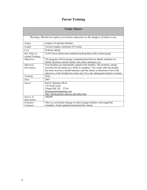# **Parent Training**

*Warning: Should not replace prevention education on the dangers of tobacco use.* 

| Target                           | Grades 6-8 and their families                                                                                                                                                                                                                                                                                                         |
|----------------------------------|---------------------------------------------------------------------------------------------------------------------------------------------------------------------------------------------------------------------------------------------------------------------------------------------------------------------------------------|
| Length                           | Various lengths, minimum of 8 weeks                                                                                                                                                                                                                                                                                                   |
| Cost                             | \$140 per family                                                                                                                                                                                                                                                                                                                      |
| Key Tobacco-<br>related Findings | 16.4% fewer adolescents initiated smoking than in the control group                                                                                                                                                                                                                                                                   |
| <i><b>Objectives</b></i>         | The program will encourage communication between family members on<br>family dynamics and the family rules about substance use.                                                                                                                                                                                                       |
| <i>Materials</i><br>Description  | Four booklets are individually mailed to the families. The booklets contain<br>activities for the family as a whole to complete. Two weeks after the booklet<br>has been received, a health educator calls the family to determine if all of the<br>objectives of the booklet have been met. If so, the subsequent booklet is mailed. |
| Training                         | None                                                                                                                                                                                                                                                                                                                                  |
| Date                             | 2001                                                                                                                                                                                                                                                                                                                                  |
| Source                           | Karl E. Bauman, Ph.D.<br>116 Nolen Lane<br>Chapel Hill, NC 27516<br>kbauman@mindspring.com<br>http://familymatters.sph.unc.edu/index.htm                                                                                                                                                                                              |
| Source of<br>Information         | <b>NREPP</b>                                                                                                                                                                                                                                                                                                                          |
| Evaluator<br>Comment             | This is a convenient strategy to reach younger families with tough/full<br>schedules. Needs updated information/fact sheets.                                                                                                                                                                                                          |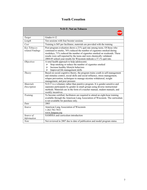#### **Youth Cessation**

| <b>N-O-T: Not on Tobacco</b>     |                                                                                                                                                                                                                                                                                                                                                                                  |
|----------------------------------|----------------------------------------------------------------------------------------------------------------------------------------------------------------------------------------------------------------------------------------------------------------------------------------------------------------------------------------------------------------------------------|
|                                  |                                                                                                                                                                                                                                                                                                                                                                                  |
| Target                           | Grades 6-12                                                                                                                                                                                                                                                                                                                                                                      |
| Length                           | Ten sessions with four booster sessions                                                                                                                                                                                                                                                                                                                                          |
| Cost                             | Training is \$45 per facilitator, materials are provided with the training                                                                                                                                                                                                                                                                                                       |
| Key Tobacco-<br>related Findings | Post-program evaluation shows a 21% quit rate among teens. Of those who<br>continued to smoke, 76% reduced the number of cigarettes smoked during<br>weekdays, 71% reduced the number of cigarettes smoked on weekends. These<br>results were self-reported by the teens and were chemically validated.<br>2004-05 school year results for Wisconsin indicate a 37.1% quit rate. |
| <i><b>Objectives</b></i>         | A total health approach to help adolescents:<br>Stop smoking or reduce the number of cigarettes smoked<br>≻<br>Increase healthy lifestyle behaviors<br>➤<br>Improved life management skills<br>➤                                                                                                                                                                                 |
| Theory                           | Based on social cognitive theory, the program trains youth in self-management<br>and stimulus control, social skills and social influence, stress management,<br>relapse prevention, techniques to manage nicotine withdrawal, weight<br>management, and peer pressure                                                                                                           |
| <b>Materials</b><br>Description  | N-O-T is a voluntary rather than punitive program. It is gender-sensitive and<br>separates participants by gender in small groups using diverse instructional<br>methods. Materials are in the form of a teacher manual, student manuals, and<br>weekly incentives.                                                                                                              |
| Training                         | To become certified, facilitators are required to attend an eight-hour training<br>available through the American Lung Association of Wisconsin. The curriculum<br>is not available for purchase only.                                                                                                                                                                           |
| Date                             | 2003                                                                                                                                                                                                                                                                                                                                                                             |
| Source                           | American Lung Association of Wisconsin<br>1-262-782-7833<br>www.lungusa.org                                                                                                                                                                                                                                                                                                      |
| Source of<br>Information         | <b>SAMHSA</b> and curriculum introduction                                                                                                                                                                                                                                                                                                                                        |
| <b>Note</b>                      | Not reviewed in 2007 due to date of publication and model program status.                                                                                                                                                                                                                                                                                                        |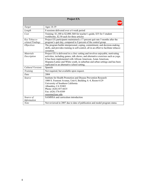| <b>Project EX</b>                |                                                                                                                                                                                                                                                                                                                                                                             |  |
|----------------------------------|-----------------------------------------------------------------------------------------------------------------------------------------------------------------------------------------------------------------------------------------------------------------------------------------------------------------------------------------------------------------------------|--|
|                                  |                                                                                                                                                                                                                                                                                                                                                                             |  |
| Target                           | Ages 14-19                                                                                                                                                                                                                                                                                                                                                                  |  |
| Length                           | 8 sessions delivered over a 6 week period                                                                                                                                                                                                                                                                                                                                   |  |
| Cost                             | Training: \$1,100 to \$2,000; \$60 for teacher's guide, \$35 for 5 student<br>workbooks, \$2.50 each for three articles                                                                                                                                                                                                                                                     |  |
| Key Tobacco-<br>related Findings | Project EX participants maintained a 17 percent quit rate 5 months after the<br>program's quit day, compared to 8 percent of the control group.                                                                                                                                                                                                                             |  |
| <i><b>Objectives</b></i>         | The program builds interpersonal, coping, commitment, and decision-making<br>skills, and provides training in self-control, all in an effort to facilitate tobacco<br>cessation.                                                                                                                                                                                            |  |
| <b>Materials</b><br>Description  | Project EX is delivered in a <i>clinic</i> setting and involves enjoyable, motivating<br>activities, including games, talk shows, and alternative exercises such as yoga.<br>It has been implemented with African American, Asian American,<br>Hispanic/Latino and White youth, in suburban and urban settings and has been<br>replicated in an alternative school setting. |  |
| Cultural Versions                | Spanish                                                                                                                                                                                                                                                                                                                                                                     |  |
| Training                         | Not required, but available upon request.                                                                                                                                                                                                                                                                                                                                   |  |
| Date                             | 2004                                                                                                                                                                                                                                                                                                                                                                        |  |
| Source                           | Institute for Health Promotion and Disease Prevention Research<br>1000 S. Fremont Avenue, Unit 8, Building A-4, Room 6129<br>University of Southern California<br>Alhambra, CA 91803<br>Phone: (626) 457-6635<br>Fax: (626) 376-0389<br>ssussma@usc.edu                                                                                                                     |  |
| Source of                        | SAMHSA and curriculum introduction                                                                                                                                                                                                                                                                                                                                          |  |
| Information                      |                                                                                                                                                                                                                                                                                                                                                                             |  |
| Note                             | Not reviewed in 2007 due to date of publication and model program status.                                                                                                                                                                                                                                                                                                   |  |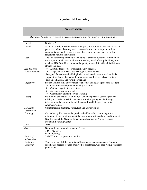# **Experiential Learning**

| <b>Project Venture</b>           |                                                                                                                                                                                                                                                                                                                     |  |  |
|----------------------------------|---------------------------------------------------------------------------------------------------------------------------------------------------------------------------------------------------------------------------------------------------------------------------------------------------------------------|--|--|
|                                  |                                                                                                                                                                                                                                                                                                                     |  |  |
|                                  | Warning: Should not replace prevention education on the dangers of tobacco use.                                                                                                                                                                                                                                     |  |  |
| Target                           | Grades 5-9                                                                                                                                                                                                                                                                                                          |  |  |
| Length                           | About 20 hourly in-school sessions per year, one 2-3 hour after-school session<br>per week and one day-long weekend/vacation-time activity per month, 4<br>community service-learning projects plus 4 family events per year, 7 day<br>leadership camp in the summer                                                |  |  |
| Cost                             | The cost for serving 100 youth, including salaries for personnel to implement<br>the program, purchase of equipment if needed, rental of camp facilities, is as<br>much as \$100,000. This cost could be greatly reduced if staff and facilities are<br>already in place.                                           |  |  |
| Key Tobacco-<br>related Findings | Lifetime tobacco use was significantly reduced<br>➤<br>Frequency of tobacco use was significantly reduced<br>➤<br>Designed for and tested with high-risk, rural, low-income American Indian<br>populations, but replicated with urban American Indians, Alaska Natives,<br>Hispanics/Latinos, and Native Hawaiians. |  |  |
| <i><b>Objectives</b></i>         | Project Venture aims to prevent substance use and related problems through:<br>Classroom-based problem-solving activities<br>➤<br>Outdoor experiential activities<br>➤<br>Adventure camps and treks<br>➤<br>Community-oriented service learning<br>➤                                                                |  |  |
| Theory                           | Built on the concept of "Habilitation" which emphasizes specific problem-<br>solving and leadership skills that are nurtured in young people through<br>interaction in the community and the natural world. Inspired by Native<br>American values.                                                                  |  |  |
| <b>Materials</b><br>Description  | Comprehensive planning, curriculum and activity guide                                                                                                                                                                                                                                                               |  |  |
| Training                         | Curriculum guide may not be purchased without also contracting for a<br>minimum of two trainings-one at the new program site and a second training in<br>New Mexico at the National Indian Youth Leadership Project's Sacred<br>Mountain Learning Center.                                                           |  |  |
| Date                             | 2005                                                                                                                                                                                                                                                                                                                |  |  |
| Source                           | National Indian Youth Leadership Project<br>1-505-722-9176<br>www.niylp.org                                                                                                                                                                                                                                         |  |  |
| Source of<br>Information         | SAMHSA and program introduction                                                                                                                                                                                                                                                                                     |  |  |
| Evaluator<br>Comment             | Teaches personal skills that raise self-awareness and competence. Does not<br>specifically address tobacco or any other substances. Good for Native American<br>populations.                                                                                                                                        |  |  |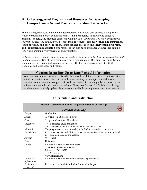#### **B. Other Suggested Programs and Resources for Developing Comprehensive School Programs to Reduce Tobacco Use**

The following resources, while not model programs, still follow best practice strategies for tobacco prevention. School communities may find these helpful in developing effective programs, policies, and practices consistent with the *CDC Guidelines for School Programs to Prevent Tobacco Use and Addiction*. These include resources for: **curriculum and instruction, youth advocacy and peer education, youth tobacco cessation and intervention programs, and supplemental materials**. Some resources can also be of assistance with teacher training, family and community involvement, and evaluation.

*Inclusion of a program or resource does not imply endorsement by the Wisconsin Department of Public Instruction.* Use of these resources is not a requirement of DPI grant programs. School communities are encouraged to select or develop effective programs consistent with CDC guidelines and local needs and values.

#### **Caution Regarding Up-to-Date Factual Information**

Some resources under review were found to be valuable with the exception of their outdated factual information sheets. Recent research demonstrating the strength of social norms education as a prevention strategy confirms the necessity of providing only the most current incidence and attitude information to students. Please note Section C of this booklet listing websites where regularly updated fact sheets are available to supplement any other materials.

| Alcohol, Tobacco and Other Drug Prevention II eField trip |                                                                                                                                                                                                |
|-----------------------------------------------------------|------------------------------------------------------------------------------------------------------------------------------------------------------------------------------------------------|
|                                                           | (ATODII eField trip)                                                                                                                                                                           |
| Target                                                    | Grades 6-9                                                                                                                                                                                     |
| Length                                                    | 12 weeks (12-15 classroom hours)                                                                                                                                                               |
| Cost                                                      | \$12 per student (up to 99 students)                                                                                                                                                           |
| <i>Objectives</i>                                         | Substance abuse prevention<br>⋗<br>Understand the role of the media in decision-making<br>⋗                                                                                                    |
| <i>Materials</i><br>Description                           | The program covers a wide variety of ATODA prevention content in an<br>interactive manner, with 38 interactive learning activities and games, pre- and<br>post-test, mini-lessons, and videos. |
| Format                                                    | Web-based                                                                                                                                                                                      |
| Date                                                      | Unknown                                                                                                                                                                                        |
| Source                                                    | Children's Health Education Center<br>1533 North RiverCenter Drive<br>Milwaukee, WI 53212<br>414-765-9355<br>www.bluekids.org                                                                  |
| Source of<br>Information                                  | Children's Health Education Center sales representative                                                                                                                                        |
| Evaluator<br>Comment                                      | Experienced some difficulties/confusion with the game.                                                                                                                                         |

#### **Curriculum and Instruction**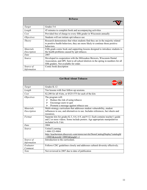| <b>B-Force</b>                  |                                                                                                                                                                                                         |
|---------------------------------|---------------------------------------------------------------------------------------------------------------------------------------------------------------------------------------------------------|
|                                 |                                                                                                                                                                                                         |
| Target                          | Grades 5-6                                                                                                                                                                                              |
| Length                          | 45 minutes to complete book and accompanying activities                                                                                                                                                 |
| Cost                            | Provided free of charge to every fifth grader in Wisconsin annually                                                                                                                                     |
| <i>Objectives</i>               | Students will not initiate spit tobacco use                                                                                                                                                             |
| Theory                          | Research demonstrates that when students find they are in the majority related<br>to positive health behaviors, they are more likely to continue those positive<br>behaviors.                           |
| <i>Materials</i><br>Description | Fifth grade comic book and supporting lessons designed to introduce students to<br>the health problems caused by spit tobacco.                                                                          |
| Date                            | 2007                                                                                                                                                                                                    |
| Source                          | Developed in cooperation with the Milwaukee Brewers, Wisconsin Dental<br>Association, and DPI. Sent to all school districts in the spring in numbers for all<br>fifth graders. Not available for order. |
| Source of<br>Information        | Comic book description                                                                                                                                                                                  |

| <b>Get Real About Tobacco</b> |                                                                                                                                                                                      |
|-------------------------------|--------------------------------------------------------------------------------------------------------------------------------------------------------------------------------------|
|                               |                                                                                                                                                                                      |
| Target                        | Grades K-12                                                                                                                                                                          |
| Length                        | Ten lessons with four follow-up sessions.                                                                                                                                            |
| Cost                          | \$2,200 for all 4 kits, or \$525-575 for each of the kits                                                                                                                            |
| <i>Objectives</i>             | The program will:<br>Reduce the risk of using tobacco<br>⋗<br>Encourage users to quit<br>≻<br>Promote a message against tobacco use<br>➤                                             |
| <i>Materials</i>              | Multi-strategy curriculum that addresses student vulnerability, student                                                                                                              |
| Description                   | influences to use, and alternatives to use. Includes references, fact sheets and<br>resources.                                                                                       |
| Format                        | Separate kits for grades K-3, 4-6, 6-9, and 9-12. Each contains teacher's guide<br>and 2 or more videos. Some include posters. Age appropriate manipulatives<br>included in K-3 kit. |
| Date                          | 2004                                                                                                                                                                                 |
| Source                        | United Learning<br>1-800-323-9084<br>http://teacherstore.discovery.com/stores/servlet/StoreCatalogDisplay?catalogId<br>$=10003$ &storeId=10003&langId=-1                             |
| Source of<br>Information      | Introduction to the curriculum.                                                                                                                                                      |
| Evaluator<br>Comment          | Follows CDC guidelines closely and addresses cultural diversity effectively.                                                                                                         |
| <b>Note</b>                   | Not reviewed in 2007 due to date of publication                                                                                                                                      |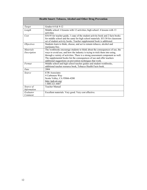|                                 | <b>Health Smart: Tobacco, Alcohol and Other Drug Prevention</b>                                                                                                                                                                                                                                                                                                                         |
|---------------------------------|-----------------------------------------------------------------------------------------------------------------------------------------------------------------------------------------------------------------------------------------------------------------------------------------------------------------------------------------------------------------------------------------|
| Target                          | Grades 6-8 & 9-12                                                                                                                                                                                                                                                                                                                                                                       |
| Length                          | Middle school: 4 lessons with 12 activities; high school: 4 lessons with 13<br>activities                                                                                                                                                                                                                                                                                               |
| Cost                            | \$54.95 for teacher guide, 1 copy of the student activity book and 2 facts books<br>for middle school and the same for high school materials. \$53.50 for classroom<br>set of student activity books. Teacher supplemental book is additional.                                                                                                                                          |
| <i><b>Objectives</b></i>        | Students learn to think, choose, and act to remain tobacco, alcohol and<br>marijuana free.                                                                                                                                                                                                                                                                                              |
| <i>Materials</i><br>Description | The workbooks encourage students to think about the consequences of use, the<br>ways to avoid use, and how the industry is trying to trick them into using,<br>through a variety of activities. There is a strong assessment component as well.<br>The supplemental books list the consequences of use and offer teachers<br>additional suggestions on prevention techniques that work. |
| Format                          | Middle school and high school teacher guides and student workbooks,<br>additional teacher resource book, Tobacco Health Facts book.                                                                                                                                                                                                                                                     |
| Date                            | 2004                                                                                                                                                                                                                                                                                                                                                                                    |
| Source                          | <b>ETR Associates</b><br>4 Carbonero Way<br>Scotts Valley, CA 95066-4200<br>http://pub.etr.org/<br>1-800-321-4407                                                                                                                                                                                                                                                                       |
| Source of<br>Information        | <b>Teacher Manual</b>                                                                                                                                                                                                                                                                                                                                                                   |
| Evaluator<br>Comment            | Excellent materials. Very good. Very cost effective.                                                                                                                                                                                                                                                                                                                                    |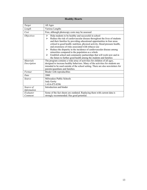| <b>Healthy Hearts</b>    |                                                                                                                                                                                                                                                                                                                                                                                                                                                                                                                                                                                                                                                     |
|--------------------------|-----------------------------------------------------------------------------------------------------------------------------------------------------------------------------------------------------------------------------------------------------------------------------------------------------------------------------------------------------------------------------------------------------------------------------------------------------------------------------------------------------------------------------------------------------------------------------------------------------------------------------------------------------|
| Target                   | All Ages                                                                                                                                                                                                                                                                                                                                                                                                                                                                                                                                                                                                                                            |
| Length                   | Various Lengths                                                                                                                                                                                                                                                                                                                                                                                                                                                                                                                                                                                                                                     |
| Cost                     | Free, although photocopy costs may be assessed                                                                                                                                                                                                                                                                                                                                                                                                                                                                                                                                                                                                      |
| <i>Objectives</i>        | Help students to be healthy and successful in school<br>➤<br>Reduce the risk of cardiovascular disease throughout the lives of students<br>➤<br>and their families by providing educational opportunities in four areas<br>critical to good health: nutrition, physical activity, blood pressure health,<br>and awareness of risks associated with tobacco use<br>Reduce the disparity in the incidence of cardiovascular disease among<br>≻<br>minorities compared to the population as a whole<br>Establish school and community partnerships that will work now and in<br>➤<br>the future to further good health among the students and families |
| <i>Materials</i>         | The program contains a wide array of activities for children of all ages,                                                                                                                                                                                                                                                                                                                                                                                                                                                                                                                                                                           |
| Description              | designed to increase healthy behaviors. Many of the activities for students are<br>intended to be used outside of the school setting. There are also newsletters for<br>parents/guardians and families.                                                                                                                                                                                                                                                                                                                                                                                                                                             |
| Format                   | Binder with reproducibles                                                                                                                                                                                                                                                                                                                                                                                                                                                                                                                                                                                                                           |
| Date                     | 2000                                                                                                                                                                                                                                                                                                                                                                                                                                                                                                                                                                                                                                                |
| Source                   | Milwaukee Public Schools<br>Judy Gerity<br>1-414-475-8396                                                                                                                                                                                                                                                                                                                                                                                                                                                                                                                                                                                           |
| Source of<br>Information | Introduction and binder                                                                                                                                                                                                                                                                                                                                                                                                                                                                                                                                                                                                                             |
| Evaluator<br>Comment     | Some of the fact sheets are outdated. Replacing them with current data is<br>strongly recommended. Has good potential.                                                                                                                                                                                                                                                                                                                                                                                                                                                                                                                              |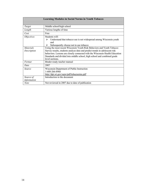| <b>Learning Modules in Social Norms in Youth Tobacco</b> |                                                                                                                                                                                                                                                                                                                                      |
|----------------------------------------------------------|--------------------------------------------------------------------------------------------------------------------------------------------------------------------------------------------------------------------------------------------------------------------------------------------------------------------------------------|
| Target                                                   | Middle school/high school                                                                                                                                                                                                                                                                                                            |
| Length                                                   | Various lengths of time                                                                                                                                                                                                                                                                                                              |
| Cost                                                     | Free                                                                                                                                                                                                                                                                                                                                 |
| <i>Objectives</i>                                        | Students will:<br>Understand that tobacco use is not widespread among Wisconsin youth<br>➤<br>and<br>Subsequently choose not to use tobacco<br>➤                                                                                                                                                                                     |
| <i>Materials</i><br>Description                          | Using the most recent Wisconsin Youth Risk Behaviors and Youth Tobacco<br>Survey results, students analyze data and predict trends in adolescent risk<br>behaviors. Lessons are closely connected with the Wisconsin Health Education<br>Standards and divided into middle school, high school and combined grade<br>level sections. |
| Format                                                   | Binder-ready teacher manual                                                                                                                                                                                                                                                                                                          |
| Date                                                     | 2007                                                                                                                                                                                                                                                                                                                                 |
| Source                                                   | Wisconsin Department of Public Instruction<br>1-608-266-8960<br>http://dpi.wi.gov/sspw/pdf/tobacnorms.pdf                                                                                                                                                                                                                            |
| Source of<br>Information                                 | Introduction to the document                                                                                                                                                                                                                                                                                                         |
| Note                                                     | Not reviewed in 2007 due to date of publication                                                                                                                                                                                                                                                                                      |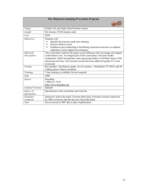| <b>The Minnesota Smoking Prevention Program</b> |                                                                                                                                                                                                                                                                                                                                               |
|-------------------------------------------------|-----------------------------------------------------------------------------------------------------------------------------------------------------------------------------------------------------------------------------------------------------------------------------------------------------------------------------------------------|
|                                                 |                                                                                                                                                                                                                                                                                                                                               |
| Target                                          | Grades 4-8, plus high school booster session                                                                                                                                                                                                                                                                                                  |
| Length                                          | Six lessons, 45-60 minutes each                                                                                                                                                                                                                                                                                                               |
| Cost                                            | \$299                                                                                                                                                                                                                                                                                                                                         |
| <i><b>Objectives</b></i>                        | Students will:<br>Identify the reasons youth start smoking<br>⋗<br>Practice skills to resist<br>➤<br>Emphasize peer leadership in facilitating classroom activities so students<br>⋗<br>experience social support for resistance                                                                                                              |
| <b>Materials</b><br>Description                 | This curriculum explores the major social influences that encourage and support<br>youth tobacco use. An integral part of this curriculum is the peer leader<br>component, which incorporates same age group leaders to facilitate many of the<br>classroom activities. New booster session has been added for grades 9-12 (not<br>reviewed). |
| Format                                          | Kit includes 1 facilitator's guide, set of 5 posters, 1 Smokefree TV DVD, and 30<br>Talking about Tobacco booklets                                                                                                                                                                                                                            |
| Training                                        | 7 day training is available, but not required.                                                                                                                                                                                                                                                                                                |
| Date                                            | 2004                                                                                                                                                                                                                                                                                                                                          |
| Source                                          | Hazelden<br>1-800-257-7810<br>http://www.hazelden.org                                                                                                                                                                                                                                                                                         |
| Cultural Versions                               | Spanish                                                                                                                                                                                                                                                                                                                                       |
| Source of<br>Information                        | Introduction to the curriculum and web-site                                                                                                                                                                                                                                                                                                   |
| Evaluator<br>Comment                            | Interactive and to the point. Concern about lack of booster sessions expressed<br>by 2005 reviewers, but this has now been alleviated.                                                                                                                                                                                                        |
| <b>Note</b>                                     | Not reviewed in 2007 due to date of publication                                                                                                                                                                                                                                                                                               |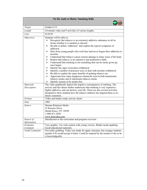| <b>No Ifs Ands or Butts: Smoking Kills</b>    |                                                                                                                                                                                                                                                                                                                                                                                                                                                                                                                                                                                                                                                                                                                                                                                                                                                                                                                                                                                |
|-----------------------------------------------|--------------------------------------------------------------------------------------------------------------------------------------------------------------------------------------------------------------------------------------------------------------------------------------------------------------------------------------------------------------------------------------------------------------------------------------------------------------------------------------------------------------------------------------------------------------------------------------------------------------------------------------------------------------------------------------------------------------------------------------------------------------------------------------------------------------------------------------------------------------------------------------------------------------------------------------------------------------------------------|
|                                               |                                                                                                                                                                                                                                                                                                                                                                                                                                                                                                                                                                                                                                                                                                                                                                                                                                                                                                                                                                                |
| Target                                        | Grades 6-12                                                                                                                                                                                                                                                                                                                                                                                                                                                                                                                                                                                                                                                                                                                                                                                                                                                                                                                                                                    |
| Length                                        | 24-minute video and 9 activities of various lengths                                                                                                                                                                                                                                                                                                                                                                                                                                                                                                                                                                                                                                                                                                                                                                                                                                                                                                                            |
| Cost                                          | \$139.95                                                                                                                                                                                                                                                                                                                                                                                                                                                                                                                                                                                                                                                                                                                                                                                                                                                                                                                                                                       |
| <i><b>Objectives</b></i>                      | Students will be able to:<br>Recognize that tobacco is an extremely addictive substance in all its<br>➤<br>forms-whether it is smoked or chewed<br>Be able to define "addiction" and explain the typical symptoms of<br>➤<br>addiction<br>Hear from young people who wish they had never begun their addiction to<br>➤<br>nicotine<br>Understand that tobacco causes serious damage to many areas of the body<br>➤<br>Realize that tobacco is an expensive and unattractive habit<br>➤<br>$\blacktriangleright$<br>Understand that smoking is not something that can be easily given up,<br>once begun<br>Identify the signs of nicotine withdrawal<br>➤<br>Identify a number of practical ways to deal with nicotine withdrawal<br>➤<br>Be able to explain the many benefits of quitting tobacco use<br>➤<br>Appreciate how many dangerous chemicals exist in both mainstream<br>➤<br>tobacco smoke and in sidestream tobacco smoke<br>Identify reasons to be smoke-free<br>➤ |
| <b>Materials</b><br>Description               | The video graphically depicts the negative consequences of smoking. The<br>activity and fact sheets further underscore that smoking is very expensive,<br>highly addictive, and can destroy your life. There are also several activities<br>designed to show students how the tobacco industry has targeted them as its<br>future customers.                                                                                                                                                                                                                                                                                                                                                                                                                                                                                                                                                                                                                                   |
| Format                                        | Video and binder-ready activity sheets                                                                                                                                                                                                                                                                                                                                                                                                                                                                                                                                                                                                                                                                                                                                                                                                                                                                                                                                         |
| Date                                          | 2002                                                                                                                                                                                                                                                                                                                                                                                                                                                                                                                                                                                                                                                                                                                                                                                                                                                                                                                                                                           |
| Source                                        | Human Relations Media<br>41 Kensico Drive<br>Mount Kisco, NY 10549<br>1-800-431-2050<br>www.hrmvideo.com                                                                                                                                                                                                                                                                                                                                                                                                                                                                                                                                                                                                                                                                                                                                                                                                                                                                       |
| Source of<br>Information                      | Introduction to the curriculum and program overview                                                                                                                                                                                                                                                                                                                                                                                                                                                                                                                                                                                                                                                                                                                                                                                                                                                                                                                            |
| Evaluator<br>Comment<br><b>Youth Comments</b> | Very graphic. Use with caution with young viewers. Binder needs updating.<br>Good educational materials.<br>Not really grabbing. Video was made for upper classmen, but younger students                                                                                                                                                                                                                                                                                                                                                                                                                                                                                                                                                                                                                                                                                                                                                                                       |
|                                               | (grades 6-9) would accept it better. Could be inspired by the teacher if she or he<br>is knowledgeable.                                                                                                                                                                                                                                                                                                                                                                                                                                                                                                                                                                                                                                                                                                                                                                                                                                                                        |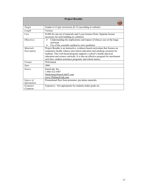| <b>Project Breathe</b>   |                                                                                                                                                                                                                                                                                                       |
|--------------------------|-------------------------------------------------------------------------------------------------------------------------------------------------------------------------------------------------------------------------------------------------------------------------------------------------------|
|                          |                                                                                                                                                                                                                                                                                                       |
| Target                   | Grades 6-12 (per reviewers), K-12 (according to website)                                                                                                                                                                                                                                              |
| Length                   | Various                                                                                                                                                                                                                                                                                               |
| Cost                     | \$1496 for one set of materials and 5-year license (Note: Separate license<br>necessary for each building in a district)                                                                                                                                                                              |
| <i>Objectives</i>        | Understanding the implications and impact of tobacco use on the lungs<br>➤<br>and heart<br>Use of the scientific method to solve problems<br>➤                                                                                                                                                        |
| <b>Materials</b>         | Project Breathe is an interactive, evidence-based curriculum that focuses on                                                                                                                                                                                                                          |
| Description              | respiratory health, tobacco prevention education and smoking cessation for<br>students. This web-based program supports a school's health, physical<br>education and science curricula. It is also an effective program for enrichment<br>activities, student assistance programs, and school nurses. |
| Format                   | Web-based                                                                                                                                                                                                                                                                                             |
| Date                     | 2006                                                                                                                                                                                                                                                                                                  |
| Source                   | InnerLink, Inc.<br>1-866-522-5487<br>Marketing@InnerLinkIT.com<br>www.TheInnerLink.com                                                                                                                                                                                                                |
| Source of<br>Information | Promotional flyer from promoter, pre-demo materials                                                                                                                                                                                                                                                   |
| Evaluator<br>Comment     | Expensive. Not appropriate for students under grade six.                                                                                                                                                                                                                                              |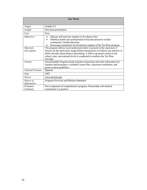| <b>Tar Wars</b>                 |                                                                                                                                                                                                                                                                                                                                         |
|---------------------------------|-----------------------------------------------------------------------------------------------------------------------------------------------------------------------------------------------------------------------------------------------------------------------------------------------------------------------------------------|
|                                 |                                                                                                                                                                                                                                                                                                                                         |
| Target                          | Grades 4-5                                                                                                                                                                                                                                                                                                                              |
| Length                          | One hour presentation                                                                                                                                                                                                                                                                                                                   |
| Cost                            | Free                                                                                                                                                                                                                                                                                                                                    |
| <i>Objectives</i>               | Educate and motivate students to be tobacco-free<br>↘<br>Mobilize health care professionals to become proactive in their<br>⋗<br>community's health education<br>Encourage community involvement in support of the Tar Wars program<br>⋗                                                                                                |
| <b>Materials</b><br>Description | The program utilizes local medical providers to present in the classroom. It<br>focuses on the short-term, image-based consequences of tobacco use and how to<br>think critically about tobacco advertising. A follow-up poster contest at the<br>school, state, and national levels is conducted to reinforce the Tar Wars<br>message. |
| Format                          | Downloadable Program Guide includes instructions and other information for<br>teachers and presenters, a scripted Lesson Plan, classroom worksheets, and<br>poster contest guidelines.                                                                                                                                                  |
| Cultural Versions               | Spanish                                                                                                                                                                                                                                                                                                                                 |
| Date                            | 2007                                                                                                                                                                                                                                                                                                                                    |
| Source                          | www.tarwars.org                                                                                                                                                                                                                                                                                                                         |
| Source of<br>Information        | Program Overview and Mission Statement                                                                                                                                                                                                                                                                                                  |
| Evaluator<br>Comment            | One component of comprehensive program. Partnership with medical<br>community is a positive.                                                                                                                                                                                                                                            |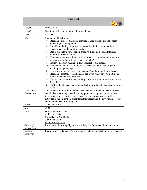| <b>Targeted!</b>                |                                                                                                                                                                                                                                                                                                                                                                                                                                                                                                                                                                                                                                                                                                                                                                                                                                                                                                                                                                                                                                                                                   |
|---------------------------------|-----------------------------------------------------------------------------------------------------------------------------------------------------------------------------------------------------------------------------------------------------------------------------------------------------------------------------------------------------------------------------------------------------------------------------------------------------------------------------------------------------------------------------------------------------------------------------------------------------------------------------------------------------------------------------------------------------------------------------------------------------------------------------------------------------------------------------------------------------------------------------------------------------------------------------------------------------------------------------------------------------------------------------------------------------------------------------------|
|                                 |                                                                                                                                                                                                                                                                                                                                                                                                                                                                                                                                                                                                                                                                                                                                                                                                                                                                                                                                                                                                                                                                                   |
| Target                          | Grades 6-12                                                                                                                                                                                                                                                                                                                                                                                                                                                                                                                                                                                                                                                                                                                                                                                                                                                                                                                                                                                                                                                                       |
| Length                          | 24-minute video and activities of various lengths                                                                                                                                                                                                                                                                                                                                                                                                                                                                                                                                                                                                                                                                                                                                                                                                                                                                                                                                                                                                                                 |
| Cost                            | \$139.95                                                                                                                                                                                                                                                                                                                                                                                                                                                                                                                                                                                                                                                                                                                                                                                                                                                                                                                                                                                                                                                                          |
| <b>Objectives</b>               | Students will be able to:<br>Recognize general marketing techniques used to make products seem<br>≻<br>appealing to young people<br>Identify marketing ploys used by alcohol and tobacco companies to<br>➤<br>increase sales in the youth markets<br>Better understand how specific products, like alco-pops and flavored<br>➤<br>cigarettes, are aimed at kids<br>Understand the restrictions placed on tobacco companies and how those<br>➤<br>restrictions are being fought "under the table"<br>Improve decision-making skills about alcohol and tobacco<br>⋗<br>Understand and discuss the increased risks created by smoking and<br>➤<br>drinking at a young age<br>Learn how to speak comfortably and confidently about their options<br>➤<br>Recognize that tobacco and alcohol are given "free" advertising time on<br>$\blacktriangleright$<br>television shows and in movies<br>Discuss the power of money and big corporations and how that power can<br>⋗<br>be yielded<br>Explore the ethics of marketing and selling products that cause disease and<br>➤<br>death |
| <i>Materials</i><br>Description | The video has two narrators who discuss the main purpose of specific tobacco<br>and alcohol advertising: to entice young people the buy their products thus<br>increasing company profits regardless of the impact on consumers. The<br>activities in the binder help students further understand the advertising process<br>and develop decision-making skills.                                                                                                                                                                                                                                                                                                                                                                                                                                                                                                                                                                                                                                                                                                                  |
| Format                          | Video and binder                                                                                                                                                                                                                                                                                                                                                                                                                                                                                                                                                                                                                                                                                                                                                                                                                                                                                                                                                                                                                                                                  |
| Date                            | 2003                                                                                                                                                                                                                                                                                                                                                                                                                                                                                                                                                                                                                                                                                                                                                                                                                                                                                                                                                                                                                                                                              |
| Source                          | Human Relations Media<br>41 Kensico Drive<br>Mount Kisco, NY 10549<br>1-800-431-2050<br>www.hrmvideo.com                                                                                                                                                                                                                                                                                                                                                                                                                                                                                                                                                                                                                                                                                                                                                                                                                                                                                                                                                                          |
| Source of                       | Introduction, Learning Objectives, and Program Summary of the curriculum                                                                                                                                                                                                                                                                                                                                                                                                                                                                                                                                                                                                                                                                                                                                                                                                                                                                                                                                                                                                          |
| Information                     |                                                                                                                                                                                                                                                                                                                                                                                                                                                                                                                                                                                                                                                                                                                                                                                                                                                                                                                                                                                                                                                                                   |
| Evaluator<br>Comment            | Incorporates Big Tobacco. Use more up-to-date fact sheets than those provided.                                                                                                                                                                                                                                                                                                                                                                                                                                                                                                                                                                                                                                                                                                                                                                                                                                                                                                                                                                                                    |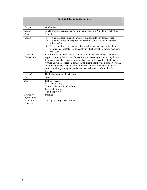| <b>Teach and Talk: Tobacco Free</b> |                                                                                                                                                                                                                                                                                                                                                                                                                                                                                                               |
|-------------------------------------|---------------------------------------------------------------------------------------------------------------------------------------------------------------------------------------------------------------------------------------------------------------------------------------------------------------------------------------------------------------------------------------------------------------------------------------------------------------------------------------------------------------|
|                                     |                                                                                                                                                                                                                                                                                                                                                                                                                                                                                                               |
| Target                              | Grades K-4                                                                                                                                                                                                                                                                                                                                                                                                                                                                                                    |
| Length                              | 32 classroom activities, many of which are hands-on. Nine family activities                                                                                                                                                                                                                                                                                                                                                                                                                                   |
| Cost                                | \$19.95                                                                                                                                                                                                                                                                                                                                                                                                                                                                                                       |
| <i><b>Objectives</b></i>            | To help children strengthen their commitment to stay tobacco-free<br>➤<br>To help children find support and learn the skills that will keep them<br>≻<br>tobacco-free<br>To give children the guidance they need to manage and resolve their<br>⋗<br>confusion about tobacco, especially in situations where family members<br>are users                                                                                                                                                                      |
| <i>Materials</i><br>Description     | Part of the Health Smart series, this set of activities uses students' values to<br>support learning that is powerful and fun and encourages students to join with<br>their peers to make strong commitments to remain tobacco free. Included are<br>writing activities, reflection, family involvement, identifying a support system,<br>advertising literacy, big tobacco's influence, and refusal skills. Contains a<br>curriculum integration guide and extensive background information for<br>teachers. |
| Format                              | Booklet containing all activities                                                                                                                                                                                                                                                                                                                                                                                                                                                                             |
| Date                                | 2001                                                                                                                                                                                                                                                                                                                                                                                                                                                                                                          |
| Source                              | <b>ETR</b> Associates<br>4 Carbonero Way<br>Scotts Valley, CA 95066-4200<br>http://pub.etr.org/<br>1-800-321-4407                                                                                                                                                                                                                                                                                                                                                                                             |
| Source of<br>Information            | <b>Booklet</b>                                                                                                                                                                                                                                                                                                                                                                                                                                                                                                |
| Evaluator<br>Comment                | Very good. Very cost effective.                                                                                                                                                                                                                                                                                                                                                                                                                                                                               |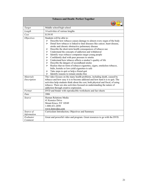| <b>Tobacco and Death: Perfect Together</b> |                                                                                                                                                                                                                                                                                                                                                                                                                                                                                                                                                                                                                                                                                                                                                                                                                                                  |
|--------------------------------------------|--------------------------------------------------------------------------------------------------------------------------------------------------------------------------------------------------------------------------------------------------------------------------------------------------------------------------------------------------------------------------------------------------------------------------------------------------------------------------------------------------------------------------------------------------------------------------------------------------------------------------------------------------------------------------------------------------------------------------------------------------------------------------------------------------------------------------------------------------|
|                                            |                                                                                                                                                                                                                                                                                                                                                                                                                                                                                                                                                                                                                                                                                                                                                                                                                                                  |
| Target                                     | Middle school/high school                                                                                                                                                                                                                                                                                                                                                                                                                                                                                                                                                                                                                                                                                                                                                                                                                        |
| Length                                     | 14 activities of various lengths                                                                                                                                                                                                                                                                                                                                                                                                                                                                                                                                                                                                                                                                                                                                                                                                                 |
| Cost                                       | \$139.95                                                                                                                                                                                                                                                                                                                                                                                                                                                                                                                                                                                                                                                                                                                                                                                                                                         |
| <i><b>Objectives</b></i>                   | Students will be able to:<br>Describe how tobacco causes damage to almost every organ of the body<br>⋗<br>Detail how tobacco is linked to fatal diseases like cancer, heart disease,<br>⋗<br>stroke and chronic obstructive pulmonary disease<br>Describe the short-term health consequences of tobacco use<br>⋗<br>Understand the concepts of addiction and withdrawal<br>➤<br>Identify ways tobacco companies target young people<br>➤<br>Confidently deal with peer pressure to smoke<br>➤<br>Understand how tobacco affects a smoker's quality of life<br>➤<br>Describe the dangers of secondhand smoke<br>➤<br>Realize that no form of tobacco-cigarettes, cigars, smokeless tobacco,<br>⋗<br>bidis, kreteks or low-yield cigarettes-is safe<br>Take steps to quit or help a friend quit<br>➤<br>Identify reasons to remain smoke-free<br>➤ |
| <b>Materials</b><br>Description            | The video focuses on the many health problems, including death, caused by<br>tobacco and how easy it is to become addicted and how hard it is to quit. The<br>activities help students think about the cost, both physical and fiscal, of using<br>tobacco. There are also activities focused on understanding the nature of<br>addiction through creative expression.                                                                                                                                                                                                                                                                                                                                                                                                                                                                           |
| Format                                     | DVD and binder with reproducible worksheets and fact sheets                                                                                                                                                                                                                                                                                                                                                                                                                                                                                                                                                                                                                                                                                                                                                                                      |
| Date                                       | 2006                                                                                                                                                                                                                                                                                                                                                                                                                                                                                                                                                                                                                                                                                                                                                                                                                                             |
| Source                                     | Human Relations Media<br>41 Kensico Drive<br>Mount Kisco, NY 10549<br>1-800-431-2050<br>www.hrmvideo.com                                                                                                                                                                                                                                                                                                                                                                                                                                                                                                                                                                                                                                                                                                                                         |
| Source of<br>Information                   | Curriculum Introduction, Objectives and Summary                                                                                                                                                                                                                                                                                                                                                                                                                                                                                                                                                                                                                                                                                                                                                                                                  |
| Evaluator<br>Comment                       | Great and powerful video and program. Great resources to go with the DVD.                                                                                                                                                                                                                                                                                                                                                                                                                                                                                                                                                                                                                                                                                                                                                                        |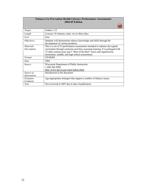| <b>Tobacco Use Prevention Health Literacy Performance Assessments:</b><br><b>2004-05 Edition</b> |                                                                                                                                                                                                                                                                                               |  |
|--------------------------------------------------------------------------------------------------|-----------------------------------------------------------------------------------------------------------------------------------------------------------------------------------------------------------------------------------------------------------------------------------------------|--|
|                                                                                                  |                                                                                                                                                                                                                                                                                               |  |
| Target                                                                                           | Grades 1-12                                                                                                                                                                                                                                                                                   |  |
| Length                                                                                           | Lessons: 45 minutes; tasks: two to three days                                                                                                                                                                                                                                                 |  |
| Cost                                                                                             | Free                                                                                                                                                                                                                                                                                          |  |
| <i>Objectives</i>                                                                                | Students will demonstrate tobacco knowledge and skills through the<br>development of various products.                                                                                                                                                                                        |  |
| <i>Materials</i><br>Description                                                                  | This is a set of 23 performance assessments intended to enhance the regular<br>curriculum through extension activities assessing learning. It is packaged with<br>15 other content areas and 3 "Best of the Best" issues and organized by<br>elementary, middle, and high school assessments. |  |
| Format                                                                                           | <b>CD-ROM</b>                                                                                                                                                                                                                                                                                 |  |
| Date                                                                                             | 2004                                                                                                                                                                                                                                                                                          |  |
| Source                                                                                           | Wisconsin Department of Public Instruction<br>1-608-266-8960<br>http://www.dpi.wi.gov/sspw/tadocs.html                                                                                                                                                                                        |  |
| Source of<br>Information                                                                         | Introduction to the document                                                                                                                                                                                                                                                                  |  |
| Evaluator<br>Comment                                                                             | Age-appropriate strategies that support a number of tobacco issues.                                                                                                                                                                                                                           |  |
| <b>Note</b>                                                                                      | Not reviewed in 2007 due to date of publication                                                                                                                                                                                                                                               |  |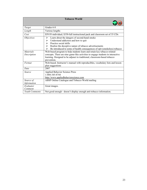| <b>Tobacco World</b>            |                                                                                                                                                                                                                                                                               |
|---------------------------------|-------------------------------------------------------------------------------------------------------------------------------------------------------------------------------------------------------------------------------------------------------------------------------|
|                                 |                                                                                                                                                                                                                                                                               |
| Target                          | Grades 6-8                                                                                                                                                                                                                                                                    |
| Length                          | Various lengths                                                                                                                                                                                                                                                               |
| Cost                            | \$59.95-individual; \$350-full instructional pack and classroom set of 35 CDs                                                                                                                                                                                                 |
| <i>Objectives</i>               | Learn about the dangers of second-hand smoke<br>⋗<br>Understand addiction and how to quit<br>➤<br>Practice social skills<br>↘<br>Realize the deceptive nature of tobacco advertisements<br>➤<br>Be introduced to some of health consequences of spit (smokeless) tobacco<br>↘ |
| <b>Materials</b><br>Description | Web-based program to help students learn and retain key tobacco-related<br>concepts. There are nine game-like activities to engage students in interactive<br>learning. Designed to be adjunct to traditional, classroom-based tobacco<br>prevention.                         |
| Format                          | Web-based. Instructor's manual with reproducibles, vocabulary lists and lesson<br>plan suggestions                                                                                                                                                                            |
| Date                            | 2007                                                                                                                                                                                                                                                                          |
| Source                          | <b>Applied Behavior Science Press</b><br>1-888-345-8744<br>http://www.appliedbehaviorscience.com                                                                                                                                                                              |
| Source of<br>Information        | ABSP Online Catalogue and Tobacco World mailing                                                                                                                                                                                                                               |
| Evaluator<br>Comment            | Great images.                                                                                                                                                                                                                                                                 |
| <b>Youth Comments</b>           | Not good enough - doesn't display enough anti-tobacco information.                                                                                                                                                                                                            |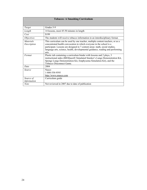| <b>Tobacco: A Smashing Curriculum</b> |                                                                                                                                                                                                                                                                                                                                  |
|---------------------------------------|----------------------------------------------------------------------------------------------------------------------------------------------------------------------------------------------------------------------------------------------------------------------------------------------------------------------------------|
|                                       |                                                                                                                                                                                                                                                                                                                                  |
| Target                                | Grades 5-9                                                                                                                                                                                                                                                                                                                       |
| Length                                | 14 lessons, most 45-50 minutes in length                                                                                                                                                                                                                                                                                         |
| Cost                                  | \$199                                                                                                                                                                                                                                                                                                                            |
| <i>Objectives</i>                     | The students will receive tobacco information in an interdisciplinary format.                                                                                                                                                                                                                                                    |
| <i>Materials</i><br>Description       | This curriculum can be used by one teacher, multiple content teachers, or as a<br>concentrated health convocation in which everyone in the school is a<br>participant. Lessons are designed in 7 content areas: math, social studies,<br>language arts, science, health, developmental guidance, reading and performing<br>arts. |
| Format                                | Plastic tub containing a curriculum binder with lessons and 2 plays, 3<br>instructional aides (BIOQuest® Simulated Smoker's Lungs Demonstration Kit,<br>Sponge Lungs Demonstration Kit, Emphysema Simulation Kit), and the<br>Tobacco Disconnect Game.                                                                           |
| Date                                  | 2004                                                                                                                                                                                                                                                                                                                             |
| Source                                | <b>Nasco</b><br>1-800-558-9595<br>http://www.enasco.com                                                                                                                                                                                                                                                                          |
| Source of<br>Information              | Curriculum guide                                                                                                                                                                                                                                                                                                                 |
| <b>Note</b>                           | Not reviewed in 2007 due to date of publication                                                                                                                                                                                                                                                                                  |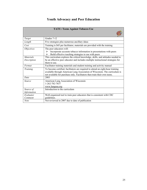# **Youth Advocacy and Peer Education**

| <b>TATU: Teens Against Tobacco Use</b> |                                                                                                                                                                                                                                             |
|----------------------------------------|---------------------------------------------------------------------------------------------------------------------------------------------------------------------------------------------------------------------------------------------|
|                                        |                                                                                                                                                                                                                                             |
| Target                                 | Grades 7-12                                                                                                                                                                                                                                 |
| Length                                 | Five strategies plus numerous ancillary ideas                                                                                                                                                                                               |
| Cost                                   | Training is \$45 per facilitator, materials are provided with the training                                                                                                                                                                  |
| <i><b>Objectives</b></i>               | The peer educators will:<br>Incorporate accurate tobacco information in presentations with peers<br>⋗<br>Build effective teaching strategies to use with peers<br>➤                                                                         |
| <b>Materials</b><br>Description        | This curriculum explores the critical knowledge, skills, and attitudes needed to<br>be an effective peer educator and includes multiple instructional strategies for<br>them to use.                                                        |
| Format                                 | Facilitator training materials and student training and activity manual                                                                                                                                                                     |
| Training                               | To become certified, facilitators are required to attend an eight-hour training<br>available through American Lung Association of Wisconsin. The curriculum is<br>not available for purchase only. Facilitators then train their own teens. |
| Date                                   | 2003                                                                                                                                                                                                                                        |
| Source                                 | American Lung Association of Wisconsin<br>1-262-782-7837<br>www.lungusa.org                                                                                                                                                                 |
| Source of                              | Introduction to the curriculum                                                                                                                                                                                                              |
| Information                            |                                                                                                                                                                                                                                             |
| Evaluator<br>Comment                   | Well-organized tool to train peer educators that is consistent with CDC<br>guidelines.                                                                                                                                                      |
| <b>Note</b>                            | Not reviewed in 2007 due to date of publication                                                                                                                                                                                             |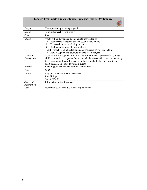| <b>Tobacco-Free Sports Implementation Guide and Tool Kit (Milwaukee)</b> |                                                                                                                                                                                                                                                                                                                                              |
|--------------------------------------------------------------------------|----------------------------------------------------------------------------------------------------------------------------------------------------------------------------------------------------------------------------------------------------------------------------------------------------------------------------------------------|
|                                                                          |                                                                                                                                                                                                                                                                                                                                              |
| Target                                                                   | Teens presenting to younger youth                                                                                                                                                                                                                                                                                                            |
| Length                                                                   | 15 minutes weekly for 5 weeks                                                                                                                                                                                                                                                                                                                |
| Cost                                                                     | Free                                                                                                                                                                                                                                                                                                                                         |
| <i>Objectives</i>                                                        | Youth will understand and demonstrate knowledge of:<br>Health risks of tobacco use and second-hand smoke<br>⋗<br>Tobacco industry marketing tactics<br>➤<br>Healthy choices for lifelong wellness<br>⋗<br>Adults (coaches, athletic staff and parents/guardians) will understand:<br>How to support and promote tobacco-free lifestyles<br>⋗ |
| <b>Materials</b><br>Description                                          | A youth-led, adult-guided initiative. Teens are trained as presenters to younger<br>children in athletic programs. Outreach and educational efforts are conducted by<br>the program coordinator for coaches, officials, and athletic staff prior to each<br>sport's season. Supported by media events.                                       |
| Format                                                                   | Planning guide and curriculum for teen trainers                                                                                                                                                                                                                                                                                              |
| Date                                                                     | 2003                                                                                                                                                                                                                                                                                                                                         |
| Source                                                                   | City of Milwaukee Health Department<br>Lisa Phillips<br>1-414-286-8891                                                                                                                                                                                                                                                                       |
| Source of<br>Information                                                 | Introduction to the document                                                                                                                                                                                                                                                                                                                 |
| <b>Note</b>                                                              | Not reviewed in 2007 due to date of publication                                                                                                                                                                                                                                                                                              |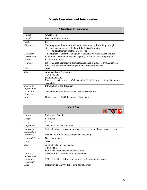#### **Youth Cessation and Intervention**

| <b>Alternatives to Suspension</b> |                                                                                                                                                                                  |
|-----------------------------------|----------------------------------------------------------------------------------------------------------------------------------------------------------------------------------|
| Target                            | Grades 6-12                                                                                                                                                                      |
| Length                            | Four 50-minute sessions                                                                                                                                                          |
| Cost                              | Free                                                                                                                                                                             |
| <i>Objectives</i>                 | The program will increase students' motivation to quit smoking through:<br>An understanding of the harmful effects of smoking<br>➤<br>The development of strategies to cope<br>➤ |
| <i>Materials</i>                  | This program is offered as an option to students who face suspension for                                                                                                         |
| Description                       | violation of the school tobacco use policy. It is not a cessation program.                                                                                                       |
| Format                            | Facilitator manual                                                                                                                                                               |
| Training                          | No formalized training, but technical assistance is available from American<br>Lung of Wisconsin and training could be arranged if needed.                                       |
| Date                              | 2002                                                                                                                                                                             |
| Source                            | American Lung Association<br>1-262-782-7833<br>www.lungusa.org<br>Materials provided with N-O-T manual at N-O-T training, but may be ordered<br>separately.                      |
| Source of                         | Introduction to the document                                                                                                                                                     |
| Information                       |                                                                                                                                                                                  |
| Evaluator<br>Comment              | Some middle school adaptations need to be developed.                                                                                                                             |
| <b>Note</b>                       | Not reviewed in 2007 due to date of publication                                                                                                                                  |

| <b>Enough Snuff</b>             |                                                                                           |
|---------------------------------|-------------------------------------------------------------------------------------------|
| Target                          | Males age 15-adult                                                                        |
| Length                          | Self-paced                                                                                |
| Cost                            | \$11.95                                                                                   |
| <i>Objectives</i>               | Smokeless tobacco cessation.                                                              |
| <i>Materials</i><br>Description | Self-help tobacco cessation program designed for smokeless tobacco users.                 |
| Format                          | Manual, 20 minute video, telephone counseling                                             |
| Cultural Versions               | Native American                                                                           |
| Date                            | 2005                                                                                      |
| Source                          | Applied Behavior Science Press<br>1-888-345-8744<br>http://www.appliedbehaviorscience.com |
| Source of<br>Information        | SAMHSA and introduction to the document                                                   |
| Evaluator<br>Comment            | SAMHSA Effective Program, although little research on youth.                              |
| <b>Note</b>                     | Not reviewed in 2007 due to date of publication                                           |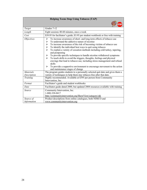| <b>Helping Teens Stop Using Tobacco (TAP)</b> |                                                                                                                                                                                                                                                                                                                                                                                                                                                                                                                                                                                                                                                                                                                                                                                    |
|-----------------------------------------------|------------------------------------------------------------------------------------------------------------------------------------------------------------------------------------------------------------------------------------------------------------------------------------------------------------------------------------------------------------------------------------------------------------------------------------------------------------------------------------------------------------------------------------------------------------------------------------------------------------------------------------------------------------------------------------------------------------------------------------------------------------------------------------|
|                                               |                                                                                                                                                                                                                                                                                                                                                                                                                                                                                                                                                                                                                                                                                                                                                                                    |
| Target                                        | Grades 7-12                                                                                                                                                                                                                                                                                                                                                                                                                                                                                                                                                                                                                                                                                                                                                                        |
| Length                                        | Eight sessions 40-60 minutes, once a week                                                                                                                                                                                                                                                                                                                                                                                                                                                                                                                                                                                                                                                                                                                                          |
| Cost                                          | \$39.95 for facilitator's guide; \$3.95 per student workbook or free with training                                                                                                                                                                                                                                                                                                                                                                                                                                                                                                                                                                                                                                                                                                 |
| <i><b>Objectives</b></i>                      | To increase awareness of short- and long-term effects of tobacco use<br>➤<br>To understand the addictive nature of nicotine<br>➤<br>To increase awareness of the risk of becoming victims of tobacco use<br>➤<br>To identify the individual best ways to quit using tobacco<br>➤<br>To explain a variety of cessation methods including cold turkey, tapering,<br>↘<br>and postponing<br>To provide specific techniques to handle nicotine withdrawal symptoms<br>➤<br>To teach skills to avoid the triggers, thoughts, feelings and physical<br>$\blacktriangleright$<br>cravings that lead to tobacco use, including stress management and refusal<br>skills<br>To provide a supportive environment to encourage movement to the action<br>≻<br>and maintenance stages of change |
| <b>Materials</b>                              | The program guides students to a personally selected quit date and gives them a                                                                                                                                                                                                                                                                                                                                                                                                                                                                                                                                                                                                                                                                                                    |
| Description                                   | variety of techniques to help them stay tobacco-free after that date.                                                                                                                                                                                                                                                                                                                                                                                                                                                                                                                                                                                                                                                                                                              |
| Training                                      | Highly recommended. Available at \$395 per person from Community<br>Intervention, Inc.                                                                                                                                                                                                                                                                                                                                                                                                                                                                                                                                                                                                                                                                                             |
| Format                                        | Facilitator's guide and student workbooks                                                                                                                                                                                                                                                                                                                                                                                                                                                                                                                                                                                                                                                                                                                                          |
| Date                                          | Facilitator guide dated 2000, but updated 2004 resources available with training                                                                                                                                                                                                                                                                                                                                                                                                                                                                                                                                                                                                                                                                                                   |
| Source                                        | Community Intervention, Inc.<br>1-800-328-0417<br>http://communityintervention.org/ShowView/category/s&                                                                                                                                                                                                                                                                                                                                                                                                                                                                                                                                                                                                                                                                            |
| Source of                                     | Product descriptions from online catalogues, both NIMCO and                                                                                                                                                                                                                                                                                                                                                                                                                                                                                                                                                                                                                                                                                                                        |
| Information                                   | www.communityintervention.org                                                                                                                                                                                                                                                                                                                                                                                                                                                                                                                                                                                                                                                                                                                                                      |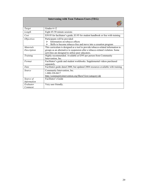| <b>Intervening with Teen Tobacco Users (TEG)</b> |                                                                                                                                               |
|--------------------------------------------------|-----------------------------------------------------------------------------------------------------------------------------------------------|
|                                                  |                                                                                                                                               |
| Target                                           | Grades 6-12                                                                                                                                   |
| Length                                           | Eight 45-50 minute sessions                                                                                                                   |
| Cost                                             | \$39.95 for facilitator's guide; \$3.95 for student handbook or free with training                                                            |
| <i>Objectives</i>                                | Participants will be provided:<br>Information on tobacco effects<br>↘<br>Skills to become tobacco-free and move into a cessation program<br>⋗ |
| <b>Materials</b>                                 | This curriculum is designed as a tool to provide tobacco-related information to                                                               |
| Description                                      | groups as an alternative to suspension after a tobacco-related violation. Some<br>activities are designed to utilize peer educators.          |
| Training                                         | Highly recommended. Available at \$395 per person from Community<br>Intervention, Inc.                                                        |
| Format                                           | Facilitator's guide and student workbooks. Supplemental videos purchased<br>separately.                                                       |
| Date                                             | Facilitator guide dated 2000, but updated 2004 resources available with training                                                              |
| Source                                           | Community Intervention, Inc.<br>1-800-328-0417<br>http://communityintervention.org/ShowView/category/s&                                       |
| Source of                                        | Facilitator's Guide                                                                                                                           |
| Information                                      |                                                                                                                                               |
| Evaluator                                        | Very user friendly.                                                                                                                           |
| Comment                                          |                                                                                                                                               |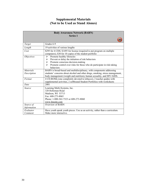#### **Supplemental Materials (Not to be Used as Stand Alones)**

| <b>Body Awareness Network (BARN)</b> |                                                                               |
|--------------------------------------|-------------------------------------------------------------------------------|
| <b>Series 1</b>                      |                                                                               |
|                                      |                                                                               |
|                                      |                                                                               |
| Target                               | Grades 6-9                                                                    |
| Length                               | 19 activities of various lengths                                              |
| Cost                                 | \$295 for 4 CDS; \$1495 for license (required to put program on multiple      |
|                                      | computers); \$30 for 10 copies of the student portfolio                       |
| <i>Objectives</i>                    | Promote healthy lifestyles<br>≻                                               |
|                                      | Prevent or delay the initiation of risk behaviors<br>➤                        |
|                                      | Promote conscious decision-making<br>➤                                        |
|                                      | Promote control over risks for those who do participate in risk-taking<br>↘   |
|                                      | behaviors                                                                     |
| <b>Materials</b>                     | BARN is broad-based and multidisciplinary, with components addressing         |
| Description                          | students' concerns about alcohol and other drugs, smoking, stress management, |
|                                      | body management (weight and nutrition), human sexuality, and HIV/AIDS.        |
| Format                               | 4 CD-ROMs (one completely devoted to tobacco), 2 teacher guides with          |
|                                      | supplemental activities, 2 softbound Student Portfolios with worksheets       |
| Date                                 | 2001                                                                          |
| Source                               | Learning Multi-Systems, Inc.                                                  |
|                                      | 320 Holtzman Road                                                             |
|                                      | Madison, WI 53713                                                             |
|                                      | Fax: 608-273-8065                                                             |
|                                      | Phone: 1-800-362-7323 or 608-273-8060                                         |
|                                      | www.lmssite.com                                                               |
| Source of                            | Overview of BARN                                                              |
| Information                          |                                                                               |
| Evaluator                            | Have youth speak youth pieces. Use as an activity, rather than a curriculum.  |
| Comment                              | Make more interactive.                                                        |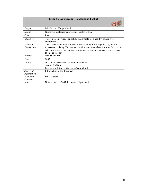| <b>Clear the Air: Second-Hand Smoke Toolkit</b> |                                                                                                                                                                                                                                                                      |
|-------------------------------------------------|----------------------------------------------------------------------------------------------------------------------------------------------------------------------------------------------------------------------------------------------------------------------|
|                                                 |                                                                                                                                                                                                                                                                      |
| Target                                          | Middle school/high school                                                                                                                                                                                                                                            |
| Length                                          | Numerous strategies with various lengths of time                                                                                                                                                                                                                     |
| Cost                                            | Free                                                                                                                                                                                                                                                                 |
| <i>Objectives</i>                               | To promote knowledge and skills to advocate for a healthy, smoke-free<br>environment.                                                                                                                                                                                |
| <b>Materials</b><br>Description                 | The DVD will increase students' understanding of the targeting of youth in<br>tobacco advertising. The manual contains basic second-hand smoke facts, youth<br>activities, research and extensive resources to support youth advocacy relative<br>to smoke-free air. |
| Format                                          | Manual and DVD                                                                                                                                                                                                                                                       |
| Date                                            | 2003                                                                                                                                                                                                                                                                 |
| Source                                          | Wisconsin Department of Public Instruction<br>1-608-266-8960<br>http://www.dpi.state.wi.us/sspw/tadocs.html                                                                                                                                                          |
| Source of<br>Information                        | Introduction to the document                                                                                                                                                                                                                                         |
| Evaluator<br>Comment                            | DVD is great.                                                                                                                                                                                                                                                        |
| <b>Note</b>                                     | Not reviewed in 2007 due to date of publication                                                                                                                                                                                                                      |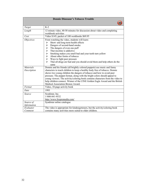| <b>Donnie Dinosaur's Tobacco Trouble</b> |                                                                                                                                                                                                                                                                                                                                                                                                                                                                                                                                |
|------------------------------------------|--------------------------------------------------------------------------------------------------------------------------------------------------------------------------------------------------------------------------------------------------------------------------------------------------------------------------------------------------------------------------------------------------------------------------------------------------------------------------------------------------------------------------------|
|                                          |                                                                                                                                                                                                                                                                                                                                                                                                                                                                                                                                |
| Target                                   | $K-2$                                                                                                                                                                                                                                                                                                                                                                                                                                                                                                                          |
| Length                                   | 12 minute video, 40-50 minutes for discussion about video and completing<br>workbook activities                                                                                                                                                                                                                                                                                                                                                                                                                                |
| Cost                                     | Video \$145; packet of 100 workbooks \$69.95                                                                                                                                                                                                                                                                                                                                                                                                                                                                                   |
| <i>Objectives</i>                        | From watching the video, students will learn:<br>Short- and long-term health effects<br>➤<br>Dangers of second-hand smoke<br>➤<br>The dangers of even one puff<br>➤<br>That nicotine is addictive<br>$\blacktriangleright$<br>Smoking makes you smell bad and your teeth turn yellow<br>➤<br>About other forms of tobacco<br>➤<br>Ways to fight peer pressure<br>$\blacktriangleright$<br>That all drugs are bad and you should avoid them and help others do the<br>↘<br>same                                                 |
| Materials<br>Description                 | Donnie and his friends (all brightly colored puppets) use music and funny<br>characters to teach children to keep a healthy body free of tobacco. Donnie<br>shows two young children the dangers of tobacco and how to avoid peer<br>pressure. The puppet format, along with the bright colors should appeal to<br>young viewers. The activity/coloring book contains characters from the video to<br>help children connect. Winner of the CINE Golden Eagle Award and the British<br><b>Medical Association Bronze Award.</b> |
| Format                                   | Video, 10-page activity book                                                                                                                                                                                                                                                                                                                                                                                                                                                                                                   |
| Date                                     | 1993                                                                                                                                                                                                                                                                                                                                                                                                                                                                                                                           |
| Source                                   | Syndistar, Inc.<br>1-800-841-9532<br>http://www.foxpromedia.com/                                                                                                                                                                                                                                                                                                                                                                                                                                                               |
| Source of<br>Information                 | Syndistar online catalogue                                                                                                                                                                                                                                                                                                                                                                                                                                                                                                     |
| Evaluator<br>Comment                     | The video is appropriate for kindergarteners, but the activity/coloring book<br>contains many activities more suited to older children.                                                                                                                                                                                                                                                                                                                                                                                        |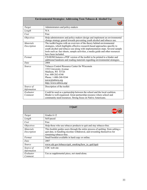| <b>Environmental Strategies: Addressing Teen Tobacco &amp; Alcohol Use</b> |                                                                                                                                                                                                                                                                                                                                                    |
|----------------------------------------------------------------------------|----------------------------------------------------------------------------------------------------------------------------------------------------------------------------------------------------------------------------------------------------------------------------------------------------------------------------------------------------|
|                                                                            |                                                                                                                                                                                                                                                                                                                                                    |
| Target                                                                     | Administrators and policy-makers                                                                                                                                                                                                                                                                                                                   |
| Length                                                                     | N/A                                                                                                                                                                                                                                                                                                                                                |
| Cost                                                                       | Free                                                                                                                                                                                                                                                                                                                                               |
| <i>Objectives</i>                                                          | Help administrators and policy-makers design and implement an environmental<br>change strategy geared towards preventing youth alcohol and tobacco use.                                                                                                                                                                                            |
| <b>Materials</b><br>Description                                            | The toolkit begins with an overview of the theory behind environmental<br>strategies, which highlights effective research-based approaches specific to<br>youth alcohol and tobacco use along with implementation steps. Several sample<br>tools such as: fact sheets, sample activities, a media guide and other resources<br>have been included. |
| Format                                                                     | CD-ROM features a PDF version of the toolkit to be printed to a binder and<br>additional handouts and reading materials regarding environmental strategies.                                                                                                                                                                                        |
| Date                                                                       | 2004                                                                                                                                                                                                                                                                                                                                               |
| Source                                                                     | Tobacco Control Resource Center for Wisconsin<br>1552 University Avenue<br>Madison, WI 53726<br>Fax: 608-262-6346<br>Phone: 1-800-248-9244<br>$tccw(a)$ tobwis.org<br>http://www.tobwis.org/                                                                                                                                                       |
| Source of<br>Information                                                   | Description of the toolkit                                                                                                                                                                                                                                                                                                                         |
| Evaluator<br>Comment                                                       | Could be used as a partnership between the school and the local coalition.<br>Binder is well-organized. Great partnership resource where school and<br>community need resources. Strong focus on Native Americans.                                                                                                                                 |

| I Quit!                         |                                                                                                                                                                                         |
|---------------------------------|-----------------------------------------------------------------------------------------------------------------------------------------------------------------------------------------|
|                                 |                                                                                                                                                                                         |
| Target                          | Grades 6-12                                                                                                                                                                             |
| Length                          | Self-paced                                                                                                                                                                              |
| Cost                            | Free                                                                                                                                                                                    |
| <i>Objectives</i>               | Help those who use tobacco products to quit and stay tobacco-free.                                                                                                                      |
| <i>Materials</i><br>Description | This booklet guides users through the entire process of quitting: from setting a<br>quit date, to handling nicotine withdrawal, and rewarding themselves for<br>remaining tobacco-free. |
| Format                          | Small booklet available in hard copy or online.                                                                                                                                         |
| Date                            | 2007                                                                                                                                                                                    |
| Source                          | www.cdc.gov/tobacco/quit_smoking/how_to_quit/iquit                                                                                                                                      |
| Source of                       | CDC web site                                                                                                                                                                            |
| Information                     |                                                                                                                                                                                         |
| Evaluator<br>Comment            | Use as supplemental piece, not stand-alone.                                                                                                                                             |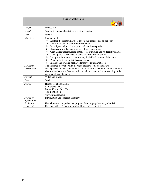| <b>Leader of the Pack</b> |                                                                                                                                                                                                                                                                                                                                                                                                                                                                                                                                                                                                                            |
|---------------------------|----------------------------------------------------------------------------------------------------------------------------------------------------------------------------------------------------------------------------------------------------------------------------------------------------------------------------------------------------------------------------------------------------------------------------------------------------------------------------------------------------------------------------------------------------------------------------------------------------------------------------|
|                           |                                                                                                                                                                                                                                                                                                                                                                                                                                                                                                                                                                                                                            |
| Target                    | Grades 2-6                                                                                                                                                                                                                                                                                                                                                                                                                                                                                                                                                                                                                 |
| Length                    | 16 minute video and activities of various lengths                                                                                                                                                                                                                                                                                                                                                                                                                                                                                                                                                                          |
| Cost                      | \$99.95                                                                                                                                                                                                                                                                                                                                                                                                                                                                                                                                                                                                                    |
| <i><b>Objectives</b></i>  | Students will:<br>Explore the harmful physical effects that tobacco has on the body<br>➤<br>Learn to recognize peer pressure situations<br>⋗<br>Investigate and practice ways to refuse tobacco products<br>≻<br>Discover how tobacco negatively affects appearance<br>⋗<br>Gain a clear understanding of tobacco advertising and its deceptive nature<br>➤<br>Develop the skills needed to stand up for their own beliefs<br>➤<br>Recognize how tobacco harms many individual systems of the body<br>⋗<br>Develop their own anti-tobacco message<br>➤<br>Identify and practice healthy alternatives to using tobacco<br>⋗ |
| <b>Materials</b>          | The animated story shown in the video presents some of the health                                                                                                                                                                                                                                                                                                                                                                                                                                                                                                                                                          |
| Description               | consequences of smoking and the risk of addiction. The binder contains activity<br>sheets with characters from the video to enhance students' understanding of the<br>negative effects of smoking.                                                                                                                                                                                                                                                                                                                                                                                                                         |
| Format                    | Video and binder                                                                                                                                                                                                                                                                                                                                                                                                                                                                                                                                                                                                           |
| Date                      | 2003                                                                                                                                                                                                                                                                                                                                                                                                                                                                                                                                                                                                                       |
| Source                    | Human Relations Media<br>41 Kensico Drive<br>Mount Kisco, NY 10549<br>1-800-431-2050<br>www.hrmvideo.com                                                                                                                                                                                                                                                                                                                                                                                                                                                                                                                   |
| Source of<br>Information  | Introduction and Program Summary                                                                                                                                                                                                                                                                                                                                                                                                                                                                                                                                                                                           |
| Evaluator                 | Use with more comprehensive program. Most appropriate for grades 4-5.                                                                                                                                                                                                                                                                                                                                                                                                                                                                                                                                                      |
| Comment                   | Excellent video. Perhaps high school kids could present it.                                                                                                                                                                                                                                                                                                                                                                                                                                                                                                                                                                |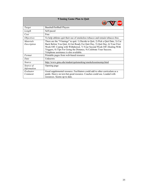| <b>9 Inning Game Plan to Quit</b> |                                                                                                                                                                                                                                                                                                                                                               |
|-----------------------------------|---------------------------------------------------------------------------------------------------------------------------------------------------------------------------------------------------------------------------------------------------------------------------------------------------------------------------------------------------------------|
|                                   |                                                                                                                                                                                                                                                                                                                                                               |
| Target                            | Baseball/Softball Players                                                                                                                                                                                                                                                                                                                                     |
| Length                            | Self-paced                                                                                                                                                                                                                                                                                                                                                    |
| Cost                              | Free                                                                                                                                                                                                                                                                                                                                                          |
| <i>Objectives</i>                 | To help athletes quit their use of smokeless tobacco and remain tobacco-free.                                                                                                                                                                                                                                                                                 |
| <i>Materials</i><br>Description   | There are the "9 Innings" to quit: 1) Decide to Quit, 2) Pick a Quit Date, 3) Cut<br>Back Before You Quit, 4) Get Ready For Quit Day, 5) Quit Day, 6) Your First<br>Week Off- Coping with Withdrawal, 7) Your Second Week Off-Dealing With<br>Triggers, 8) Tips For Going the Distance, 9) Celebrate Your Success.<br>Telephone assistance is also available. |
| Format                            | Printable pages from web-based resource                                                                                                                                                                                                                                                                                                                       |
| Date                              | Unknown                                                                                                                                                                                                                                                                                                                                                       |
| Source                            | http://www.gmu.edu/student/quitsmoking/smokelessninestep.html                                                                                                                                                                                                                                                                                                 |
| Source of<br>Information          | Opening page                                                                                                                                                                                                                                                                                                                                                  |
| Evaluator<br>Comment              | Good supplemental resource. Facilitators could add to other curriculum as a<br>guide. Heavy on text-but good resource. Coaches could use. Loaded with<br>resources. Seems up to date.                                                                                                                                                                         |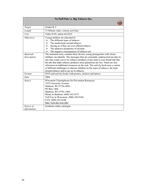| No Puff Pals vs. Big Tobacco Inc. |                                                                                                                                                                                                                                                                                                                                                                                                                                                                                                                                          |
|-----------------------------------|------------------------------------------------------------------------------------------------------------------------------------------------------------------------------------------------------------------------------------------------------------------------------------------------------------------------------------------------------------------------------------------------------------------------------------------------------------------------------------------------------------------------------------------|
|                                   |                                                                                                                                                                                                                                                                                                                                                                                                                                                                                                                                          |
| Target                            | Grades K-3                                                                                                                                                                                                                                                                                                                                                                                                                                                                                                                               |
| Length                            | 12 Minute video, various activities                                                                                                                                                                                                                                                                                                                                                                                                                                                                                                      |
| Cost                              | Video \$145; starter kit \$225                                                                                                                                                                                                                                                                                                                                                                                                                                                                                                           |
| <i><b>Objectives</b></i>          | Young children are educated in:<br>The different types of tobacco<br>➤<br>The media hype around tobacco<br>⋗<br>Saying no if they are ever offered tobacco<br>➤<br>The addictive properties of nicotine<br>⋗<br>The negative consequences of tobacco use<br>⋗                                                                                                                                                                                                                                                                            |
| <b>Materials</b><br>Description   | The animated story contains three diverse young protagonists with whom<br>children can identify. The messages that are constantly underscored are that no<br>one who wants you to try tobacco products of any kind is your friend and that<br>the ads that make tobacco products seem glamorous are lies. There are also<br>references to additional resources on the web. The activity book uses a variety<br>of different challenges to educate children on the types of tobacco, the hype<br>around tobacco and to say no to tobacco. |
| Format                            | DVD and activity books with posters, stickers and tattoos                                                                                                                                                                                                                                                                                                                                                                                                                                                                                |
| Date                              | 2004                                                                                                                                                                                                                                                                                                                                                                                                                                                                                                                                     |
| Source                            | Wisconsin Clearinghouse for Prevention Resources<br>1552 University Avenue<br>Madison, WI 53726-4085<br>PO Box 1468<br>Madison, WI 53701-1468<br>Phone in Madison: (608) 262-9157<br>Toll Free in Wisconsin: (800) 248-9244<br>FAX: (608) 262-6346<br>http://wch.uhs.wisc.edu/                                                                                                                                                                                                                                                           |
| Source of<br>Information          | Syndistar online catalogue                                                                                                                                                                                                                                                                                                                                                                                                                                                                                                               |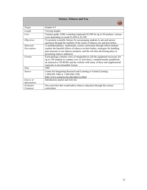| <b>Science, Tobacco and You</b> |                                                                                                                                                                                                                                                                                     |
|---------------------------------|-------------------------------------------------------------------------------------------------------------------------------------------------------------------------------------------------------------------------------------------------------------------------------------|
|                                 |                                                                                                                                                                                                                                                                                     |
| Target                          | Grades 4-5                                                                                                                                                                                                                                                                          |
| Length                          | Varying lengths                                                                                                                                                                                                                                                                     |
| Cost                            | Teacher guide-\$200; workshop (optional) \$2,500 for up to 50 teachers; various<br>costs depending on needs \$1,050 to \$2,100                                                                                                                                                      |
| <i>Objectives</i>               | To promote scientific literacy by encouraging students to ask and answer<br>questions through the medium of the issues of tobacco use and prevention.                                                                                                                               |
| <i>Materials</i><br>Description | A multidisciplinary, multimedia, science curriculum through which students<br>explore the harmful effects of tobacco on their bodies, strategies for handling<br>peer pressure to use tobacco products, and the role that advertising plays in<br>promoting tobacco addiction.      |
| Format                          | Each package contains a box of manipulatives (all the equipment necessary for<br>up to 250 students to conduct over 22 activities), a student/teacher guidebook,<br>an interactive CD-ROM, and the website with many of these and supplemental<br>materials in downloadable format. |
| Date                            | 2001                                                                                                                                                                                                                                                                                |
| Source                          | Center for Integrating Research and Learning or United Learning<br>1-888-892-3484 or 1-888-686-2100<br>http://www.scienceu.fsu.edu/states/wi.html                                                                                                                                   |
| Source of<br>Information        | Introductory packet and web-site                                                                                                                                                                                                                                                    |
| Evaluator<br>Comment            | Nice activities that would add to tobacco education through the science<br>curriculum.                                                                                                                                                                                              |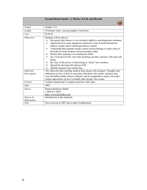|                                 | <b>Second-Hand Smoke: A Matter of Life and Breath</b>                                                                                                                                                                                                                                                                                                                                                                                                                                                                                                                                                                                                                            |
|---------------------------------|----------------------------------------------------------------------------------------------------------------------------------------------------------------------------------------------------------------------------------------------------------------------------------------------------------------------------------------------------------------------------------------------------------------------------------------------------------------------------------------------------------------------------------------------------------------------------------------------------------------------------------------------------------------------------------|
| Target                          | Grades 7-12                                                                                                                                                                                                                                                                                                                                                                                                                                                                                                                                                                                                                                                                      |
| Length                          | 10 minute video, varying lengths of activities                                                                                                                                                                                                                                                                                                                                                                                                                                                                                                                                                                                                                                   |
| Cost                            | \$139.95                                                                                                                                                                                                                                                                                                                                                                                                                                                                                                                                                                                                                                                                         |
| <i>Objectives</i>               | Students will be able to:<br>Recognize that tobacco is an extremely addictive and dangerous substance<br>≻<br>Appreciate how many dangerous chemicals exists in both mainstream<br>➤<br>tobacco smoke and in sidestream tobacco smoke<br>Understand that cigarette smoke causes serious damage to many areas of<br>⋗<br>the body for both smokers and non-smokers alike<br>Realize that smoking is an unattractive habit<br>➤<br>See vivid proof of the ways that smoking can alter a person's life and well-<br>being<br>Be wary of the power of advertising to "hook" new smokers<br>➤<br>Spread the message that tobacco kills<br>➤<br>Identify reasons to be smoke-free<br>↘ |
| <b>Materials</b><br>Description | The video provides startling medical facts along with teenagers' thoughts and<br>reflections on how it feels to associate with those who smoke, and how they<br>view the billion-dollar tobacco industry and its manipulative tactics. Provides<br>unique approaches on how to handle other people who smoke.                                                                                                                                                                                                                                                                                                                                                                    |
| Format                          | Teacher manual and 12 student activities with video.                                                                                                                                                                                                                                                                                                                                                                                                                                                                                                                                                                                                                             |
| Date                            | 2003                                                                                                                                                                                                                                                                                                                                                                                                                                                                                                                                                                                                                                                                             |
| Source                          | Human Relations Media<br>1-800-431-2050<br>http://www.hrmvideo.com                                                                                                                                                                                                                                                                                                                                                                                                                                                                                                                                                                                                               |
| Source of<br><b>Information</b> | Introduction to the materials                                                                                                                                                                                                                                                                                                                                                                                                                                                                                                                                                                                                                                                    |
| <b>Note</b>                     | Not reviewed in 2007 due to date of publication                                                                                                                                                                                                                                                                                                                                                                                                                                                                                                                                                                                                                                  |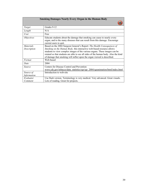| <b>Smoking Damages Nearly Every Organ in the Human Body</b> |                                                                                                                                                                                                                                                                                                                       |
|-------------------------------------------------------------|-----------------------------------------------------------------------------------------------------------------------------------------------------------------------------------------------------------------------------------------------------------------------------------------------------------------------|
|                                                             |                                                                                                                                                                                                                                                                                                                       |
| Target                                                      | Grades 9-12                                                                                                                                                                                                                                                                                                           |
| Length                                                      | N/A                                                                                                                                                                                                                                                                                                                   |
| Cost                                                        | Free                                                                                                                                                                                                                                                                                                                  |
| <i>Objectives</i>                                           | Educate students about the damage that smoking can cause to nearly every<br>organ, and to the many diseases that can result from this damage. Encourage<br>current users to quit.                                                                                                                                     |
| <b>Materials</b>                                            | Based on the 2004 Surgeon General's Report: The Health Consequences of                                                                                                                                                                                                                                                |
| Description                                                 | Smoking on the Human Body, this interactive web-based resource allows<br>students to view complex images of the various organs. These images can be<br>rotated so that students are able to see all sides of the human body. Also the kind<br>of damage that smoking will inflict upon the organ viewed is described. |
| Format                                                      | Web-based                                                                                                                                                                                                                                                                                                             |
| Date                                                        | 2004                                                                                                                                                                                                                                                                                                                  |
| Source                                                      | Centers for Disease Control and Prevention<br>www.cdc.gov/tobacco/data_statistics/sgr/sgr_2004/sgranimation/html/index.html                                                                                                                                                                                           |
| Source of<br>Information                                    | Introduction to web-site                                                                                                                                                                                                                                                                                              |
| Evaluator                                                   | Use flash version. Terminology is very medical. Very advanced. Great visuals.                                                                                                                                                                                                                                         |
| Comment                                                     | Lots of reading. Great for projects.                                                                                                                                                                                                                                                                                  |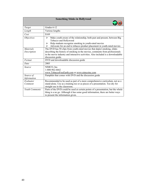| <b>Something Stinks in Hollywood</b> |                                                                                                                                                                                                                                                                    |
|--------------------------------------|--------------------------------------------------------------------------------------------------------------------------------------------------------------------------------------------------------------------------------------------------------------------|
|                                      |                                                                                                                                                                                                                                                                    |
| Target                               | Grades 6-12                                                                                                                                                                                                                                                        |
| Length                               | Various lengths                                                                                                                                                                                                                                                    |
| Cost                                 | \$169                                                                                                                                                                                                                                                              |
| <i><b>Objectives</b></i>             | Make youth aware of the relationship, both past and present, between Big<br>$\blacktriangleright$<br>Tobacco and Hollywood<br>Help students recognize smoking in youth-rated movies<br>➤                                                                           |
|                                      | Advocate for an end to tobacco product placement in youth-rated movies<br>⋗                                                                                                                                                                                        |
| <b>Materials</b><br>Description      | The DVD has 50 clips from youth-rated movies that depict smoking, slides<br>describing the history of smoking in the movies, comments from professionals<br>in the movie industry and interactive activities. Also included is a downloadable<br>discussion guide. |
| Format                               | DVD and downloadable discussion guide                                                                                                                                                                                                                              |
| Date                                 | 2005                                                                                                                                                                                                                                                               |
| Source                               | NIMCO, Inc.<br>1-800-962-6662<br>www.TobaccoFreeEarth.com or www.nimcoinc.com                                                                                                                                                                                      |
| Source of                            | Pamphlet that comes with DVD and the discussion guide                                                                                                                                                                                                              |
| Information                          |                                                                                                                                                                                                                                                                    |
| Evaluator                            | Recommended to be used as part of a more comprehensive curriculum, not as a                                                                                                                                                                                        |
| Comment                              | stand-alone. Use as a training too or as pieces of a presentation. Too dry for<br>straight use in the classroom.                                                                                                                                                   |
| <b>Youth Comments</b>                | Parts of the DVD could be used at certain points of a presentation, but the whole<br>thing is a no go. Although it has some good information, there are better ways<br>to present the information given.                                                           |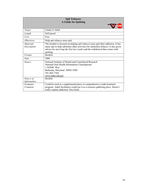| <b>Spit Tobacco:</b><br><b>A Guide for Quitting</b> |                                                                                                                                                                                                                                                                     |
|-----------------------------------------------------|---------------------------------------------------------------------------------------------------------------------------------------------------------------------------------------------------------------------------------------------------------------------|
| Target                                              | Grades 9-Adult                                                                                                                                                                                                                                                      |
| Length                                              | Self-paced                                                                                                                                                                                                                                                          |
| Cost                                                | Free                                                                                                                                                                                                                                                                |
| <i>Objectives</i>                                   | Help spit tobacco users quit.                                                                                                                                                                                                                                       |
| <i>Materials</i><br>Description                     | The booklet is focused on helping spit tobacco users quit their addiction. It has<br>many tips to help substitute other activities for smokeless tobacco. It also gives<br>advice for surviving the first two weeks and the withdrawal that comes with<br>quitting. |
| Format                                              | Booklet                                                                                                                                                                                                                                                             |
| Date                                                | 2006                                                                                                                                                                                                                                                                |
| Source                                              | National Institute of Dental and Craniofacial Research<br>National Oral Health Information Clearinghouse<br>1 NOHIC Way<br>Bethesda, Maryland 20892-3500<br>301-402-7364<br>www.nider.nih.gov                                                                       |
| Source of                                           | <b>Booklet</b>                                                                                                                                                                                                                                                      |
| Information                                         |                                                                                                                                                                                                                                                                     |
| Evaluator<br>Comment                                | Could be used as a supplemental piece in comprehensive youth treatment<br>program. Adult facilitators could use it as a resource gathering piece. Doesn't<br>really explain addiction. Nice book.                                                                   |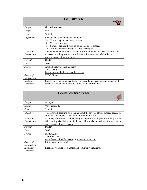| <b>The STOP Guide</b>           |                                                                                                                                                                                                                           |
|---------------------------------|---------------------------------------------------------------------------------------------------------------------------------------------------------------------------------------------------------------------------|
| Target                          | General Audience                                                                                                                                                                                                          |
| Length                          | N/A                                                                                                                                                                                                                       |
| Cost                            | \$89.95                                                                                                                                                                                                                   |
| <i>Objectives</i>               | Readers will gain an understanding of:<br>The history of smokeless tobacco<br>➤<br>The current usage<br>⋗<br>Some of the health risks of using smokeless tobacco<br>⋗<br>Various prevention and cessation techniques<br>↘ |
| <b>Materials</b><br>Description | The binder contains a wide variety of information on all aspects of smokeless<br>tobacco, including resources for further information and a brief list of<br>prevention/cessation programs.                               |
| Format                          | Binder                                                                                                                                                                                                                    |
| Date                            | 2006                                                                                                                                                                                                                      |
| Source                          | <b>Applied Behavior Science Press</b><br>1-888-345-8744<br>http://www.appliedbehaviorscience.com                                                                                                                          |
| Source of<br>Information        | <b>STOP</b> Binder                                                                                                                                                                                                        |
| Evaluator<br>Comment            | It is strongly recommended that users discard older versions and replace with<br>this new version. Good resource guide. Not a curriculum.                                                                                 |

| <b>Tobacco Attention Grabber</b> |                                                                                                                                                                                                      |
|----------------------------------|------------------------------------------------------------------------------------------------------------------------------------------------------------------------------------------------------|
|                                  |                                                                                                                                                                                                      |
| Target                           | All ages                                                                                                                                                                                             |
| Length                           | Various lengths                                                                                                                                                                                      |
| Cost                             | \$29.95                                                                                                                                                                                              |
| <i><b>Objectives</b></i>         | To assist with teaching or speaking about the adverse effects tobacco causes to<br>all those who come in contact with this addictive drug.                                                           |
| <i>Materials</i><br>Description  | A variety of creative activities designed to present analogies to smoking and its<br>effects using visual aids (not included). All visuals are available for purchase at<br>www.TobaccoFreeEarth.com |
| Format                           | <b>Binder</b>                                                                                                                                                                                        |
| Date                             | 2005                                                                                                                                                                                                 |
| Source                           | NIMCO, Inc.<br>1-800-962-6662<br>www.TobaccoFreeEarth.com or www.nimcoinc.com                                                                                                                        |
| Source of<br>Information         | Introduction to the binder                                                                                                                                                                           |
| Evaluator<br>Comment             | Excellent resource for teachers and community programs.                                                                                                                                              |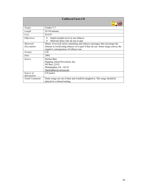| <b>Unfiltered Facts-CD</b>      |                                                                                                                                                                                                          |  |
|---------------------------------|----------------------------------------------------------------------------------------------------------------------------------------------------------------------------------------------------------|--|
|                                 |                                                                                                                                                                                                          |  |
| Target                          | Grades 5-7                                                                                                                                                                                               |  |
| Length                          | 45-50 minutes                                                                                                                                                                                            |  |
| Cost                            | \$14.95                                                                                                                                                                                                  |  |
| <i>Objectives</i>               | Inspire people never to use tobacco<br>➤<br>Motivate those who do use to quit<br>➤                                                                                                                       |  |
| <i>Materials</i><br>Description | Music of several styles containing anti-tobacco messages that encourage the<br>listener to avoid using tobacco or to quit if they do use. Some songs convey the<br>negative consequences of tobacco use. |  |
| Format                          | CD                                                                                                                                                                                                       |  |
| Date                            | 2002                                                                                                                                                                                                     |  |
| Source                          | Sterlen Barr<br>Rapping About Prevention, Inc.<br>PO Box 22355<br>Philadelphia, PA 19110<br>SterlenBarr@verizon.net                                                                                      |  |
| Source of<br>Information        | CD jacket                                                                                                                                                                                                |  |
| <b>Youth Comments</b>           | Some songs are out of date and would be laughed at. The songs should be<br>played in a relaxed setting.                                                                                                  |  |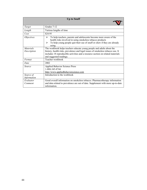| <b>Up to Snuff</b> |                                                                                                                                                                                                                                |  |  |
|--------------------|--------------------------------------------------------------------------------------------------------------------------------------------------------------------------------------------------------------------------------|--|--|
|                    |                                                                                                                                                                                                                                |  |  |
| Target             | Grades 7-12                                                                                                                                                                                                                    |  |  |
| Length             | Various lengths of time                                                                                                                                                                                                        |  |  |
| Cost               | \$24.95                                                                                                                                                                                                                        |  |  |
| <i>Objectives</i>  | To help teachers, parents and adolescents become more aware of the<br>⋗<br>health risks involved in using smokeless tobacco products<br>To help young people quit their use of snuff or chew if they are already<br>⋗<br>using |  |  |
| <i>Materials</i>   | The workbook helps teachers educate young people and adults about the                                                                                                                                                          |  |  |
| Description        | history, health risks, prevalence and legal issues of smokeless tobacco use. It                                                                                                                                                |  |  |
|                    | includes 18 reproducible activities and a resource section on related materials                                                                                                                                                |  |  |
|                    | and suggested readings.                                                                                                                                                                                                        |  |  |
| Format             | Teacher workbook                                                                                                                                                                                                               |  |  |
| Date               | 2002                                                                                                                                                                                                                           |  |  |
| Source             | <b>Applied Behavior Science Press</b>                                                                                                                                                                                          |  |  |
|                    | 1-888-345-8744                                                                                                                                                                                                                 |  |  |
|                    | http://www.appliedbehaviorscience.com                                                                                                                                                                                          |  |  |
| Source of          | Introduction to the workbook                                                                                                                                                                                                   |  |  |
| Information        |                                                                                                                                                                                                                                |  |  |
| Evaluator          | Good overall information on smokeless tobacco. Pharmacotherapy information                                                                                                                                                     |  |  |
| Comment            | and data related to prevalence are out of date. Supplement with more up-to-date                                                                                                                                                |  |  |
|                    | information.                                                                                                                                                                                                                   |  |  |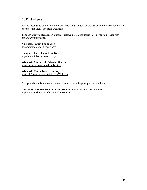#### **C. Fact Sheets**

For the most up-to-date data on tobacco usage and attitudes as well as current information on the effects of tobacco, visit these websites:

**Tobacco Control Resource Center, Wisconsin Clearinghouse for Prevention Resources**  <http://www.tobwis.org/>

**American Legacy Foundation**  <http://www.americanlegacy.org/>

**Campaign for Tobacco Free Kids**  <http://www.tobaccofreekids.org/>

**Wisconsin Youth Risk Behavior Survey**  <http://dpi.wi.gov/sspw/yrbsindx.html>

**Wisconsin Youth Tobacco Survey**  <http://dhfs.wisconsin.gov/tobacco/YTS.htm>

For up-to-date information on current medications to help people quit smoking

**University of Wisconsin Center for Tobacco Research and Intervention**  <http://www.ctri.wisc.edu/Smokers/smokers.htm>